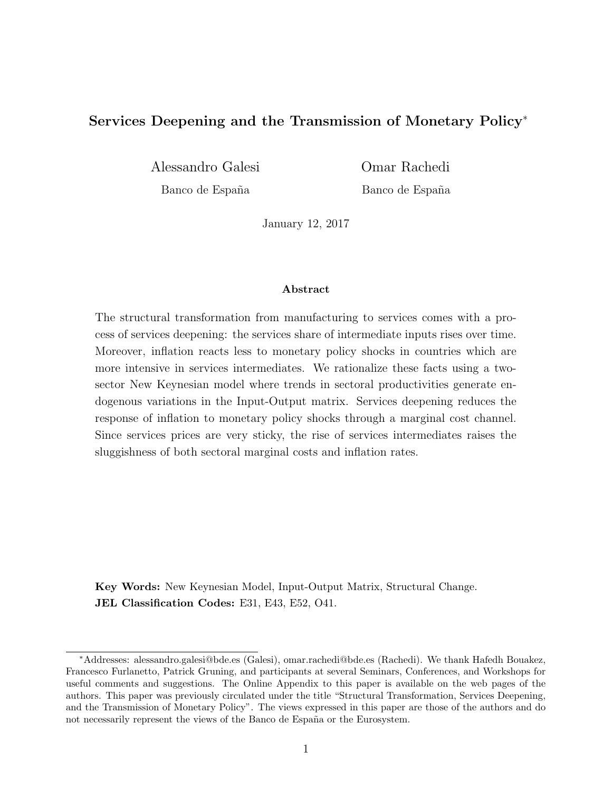## Services Deepening and the Transmission of Monetary Policy<sup>∗</sup>

Alessandro Galesi Omar Rachedi

Banco de España Banco de España

January 12, 2017

#### Abstract

The structural transformation from manufacturing to services comes with a process of services deepening: the services share of intermediate inputs rises over time. Moreover, inflation reacts less to monetary policy shocks in countries which are more intensive in services intermediates. We rationalize these facts using a twosector New Keynesian model where trends in sectoral productivities generate endogenous variations in the Input-Output matrix. Services deepening reduces the response of inflation to monetary policy shocks through a marginal cost channel. Since services prices are very sticky, the rise of services intermediates raises the sluggishness of both sectoral marginal costs and inflation rates.

Key Words: New Keynesian Model, Input-Output Matrix, Structural Change. JEL Classification Codes: E31, E43, E52, O41.

<sup>∗</sup>Addresses: alessandro.galesi@bde.es (Galesi), omar.rachedi@bde.es (Rachedi). We thank Hafedh Bouakez, Francesco Furlanetto, Patrick Gruning, and participants at several Seminars, Conferences, and Workshops for useful comments and suggestions. The Online Appendix to this paper is available on the web pages of the authors. This paper was previously circulated under the title "Structural Transformation, Services Deepening, and the Transmission of Monetary Policy". The views expressed in this paper are those of the authors and do not necessarily represent the views of the Banco de España or the Eurosystem.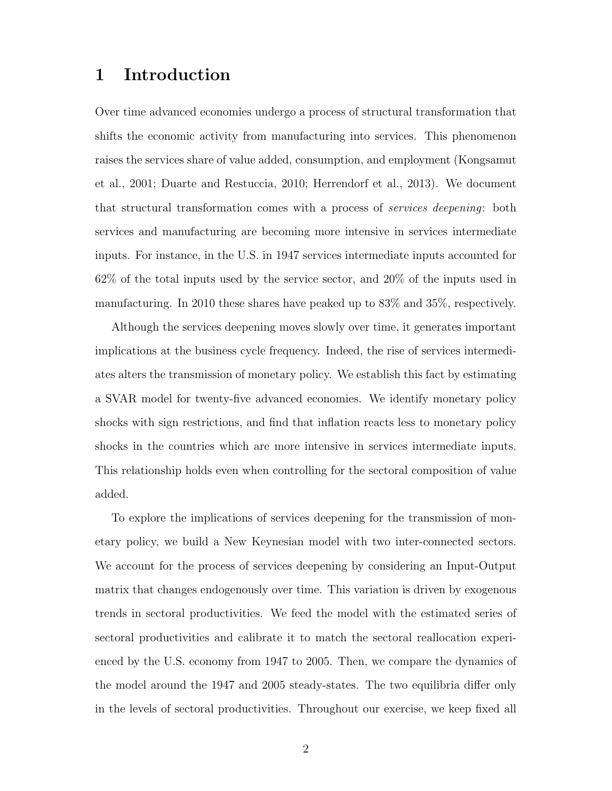# 1 Introduction

Over time advanced economies undergo a process of structural transformation that shifts the economic activity from manufacturing into services. This phenomenon raises the services share of value added, consumption, and employment (Kongsamut et al., 2001; Duarte and Restuccia, 2010; Herrendorf et al., 2013). We document that structural transformation comes with a process of services deepening: both services and manufacturing are becoming more intensive in services intermediate inputs. For instance, in the U.S. in 1947 services intermediate inputs accounted for 62% of the total inputs used by the service sector, and 20% of the inputs used in manufacturing. In 2010 these shares have peaked up to 83% and 35%, respectively.

Although the services deepening moves slowly over time, it generates important implications at the business cycle frequency. Indeed, the rise of services intermediates alters the transmission of monetary policy. We establish this fact by estimating a SVAR model for twenty-five advanced economies. We identify monetary policy shocks with sign restrictions, and find that inflation reacts less to monetary policy shocks in the countries which are more intensive in services intermediate inputs. This relationship holds even when controlling for the sectoral composition of value added.

To explore the implications of services deepening for the transmission of monetary policy, we build a New Keynesian model with two inter-connected sectors. We account for the process of services deepening by considering an Input-Output matrix that changes endogenously over time. This variation is driven by exogenous trends in sectoral productivities. We feed the model with the estimated series of sectoral productivities and calibrate it to match the sectoral reallocation experienced by the U.S. economy from 1947 to 2005. Then, we compare the dynamics of the model around the 1947 and 2005 steady-states. The two equilibria differ only in the levels of sectoral productivities. Throughout our exercise, we keep fixed all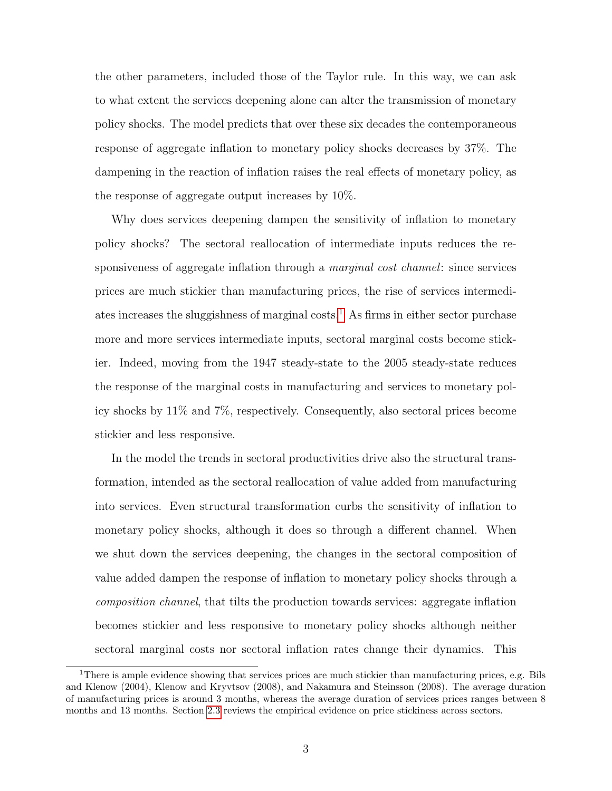the other parameters, included those of the Taylor rule. In this way, we can ask to what extent the services deepening alone can alter the transmission of monetary policy shocks. The model predicts that over these six decades the contemporaneous response of aggregate inflation to monetary policy shocks decreases by 37%. The dampening in the reaction of inflation raises the real effects of monetary policy, as the response of aggregate output increases by 10%.

Why does services deepening dampen the sensitivity of inflation to monetary policy shocks? The sectoral reallocation of intermediate inputs reduces the responsiveness of aggregate inflation through a *marginal cost channel*: since services prices are much stickier than manufacturing prices, the rise of services intermedi-ates increases the sluggishness of marginal costs.<sup>[1](#page-2-0)</sup> As firms in either sector purchase more and more services intermediate inputs, sectoral marginal costs become stickier. Indeed, moving from the 1947 steady-state to the 2005 steady-state reduces the response of the marginal costs in manufacturing and services to monetary policy shocks by 11% and 7%, respectively. Consequently, also sectoral prices become stickier and less responsive.

In the model the trends in sectoral productivities drive also the structural transformation, intended as the sectoral reallocation of value added from manufacturing into services. Even structural transformation curbs the sensitivity of inflation to monetary policy shocks, although it does so through a different channel. When we shut down the services deepening, the changes in the sectoral composition of value added dampen the response of inflation to monetary policy shocks through a composition channel, that tilts the production towards services: aggregate inflation becomes stickier and less responsive to monetary policy shocks although neither sectoral marginal costs nor sectoral inflation rates change their dynamics. This

<span id="page-2-0"></span><sup>&</sup>lt;sup>1</sup>There is ample evidence showing that services prices are much stickier than manufacturing prices, e.g. Bils and Klenow (2004), Klenow and Kryvtsov (2008), and Nakamura and Steinsson (2008). The average duration of manufacturing prices is around 3 months, whereas the average duration of services prices ranges between 8 months and 13 months. Section [2.3](#page-11-0) reviews the empirical evidence on price stickiness across sectors.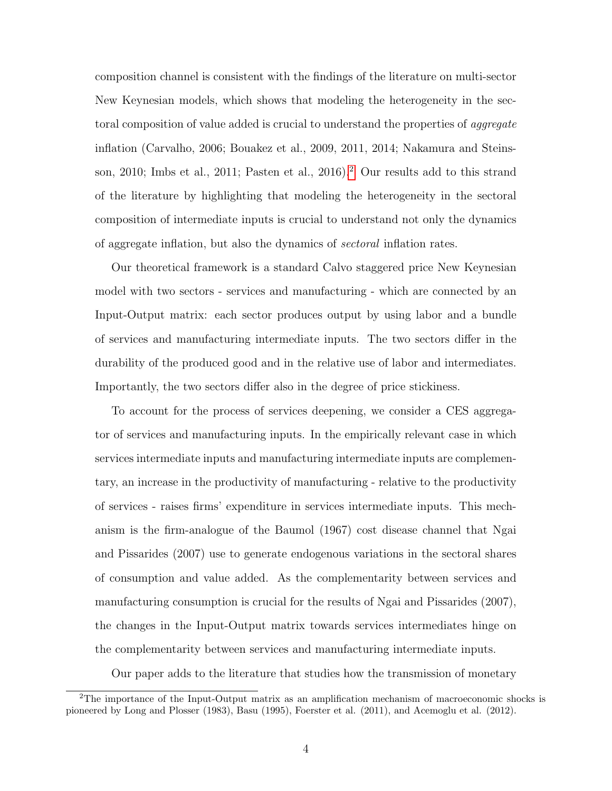composition channel is consistent with the findings of the literature on multi-sector New Keynesian models, which shows that modeling the heterogeneity in the sectoral composition of value added is crucial to understand the properties of *aggregate* inflation (Carvalho, 2006; Bouakez et al., 2009, 2011, 2014; Nakamura and Steinsson, 2010; Imbs et al., 2011; Pasten et al., 2016).[2](#page-3-0) Our results add to this strand of the literature by highlighting that modeling the heterogeneity in the sectoral composition of intermediate inputs is crucial to understand not only the dynamics of aggregate inflation, but also the dynamics of sectoral inflation rates.

Our theoretical framework is a standard Calvo staggered price New Keynesian model with two sectors - services and manufacturing - which are connected by an Input-Output matrix: each sector produces output by using labor and a bundle of services and manufacturing intermediate inputs. The two sectors differ in the durability of the produced good and in the relative use of labor and intermediates. Importantly, the two sectors differ also in the degree of price stickiness.

To account for the process of services deepening, we consider a CES aggregator of services and manufacturing inputs. In the empirically relevant case in which services intermediate inputs and manufacturing intermediate inputs are complementary, an increase in the productivity of manufacturing - relative to the productivity of services - raises firms' expenditure in services intermediate inputs. This mechanism is the firm-analogue of the Baumol (1967) cost disease channel that Ngai and Pissarides (2007) use to generate endogenous variations in the sectoral shares of consumption and value added. As the complementarity between services and manufacturing consumption is crucial for the results of Ngai and Pissarides (2007), the changes in the Input-Output matrix towards services intermediates hinge on the complementarity between services and manufacturing intermediate inputs.

Our paper adds to the literature that studies how the transmission of monetary

<span id="page-3-0"></span> $2$ The importance of the Input-Output matrix as an amplification mechanism of macroeconomic shocks is pioneered by Long and Plosser (1983), Basu (1995), Foerster et al. (2011), and Acemoglu et al. (2012).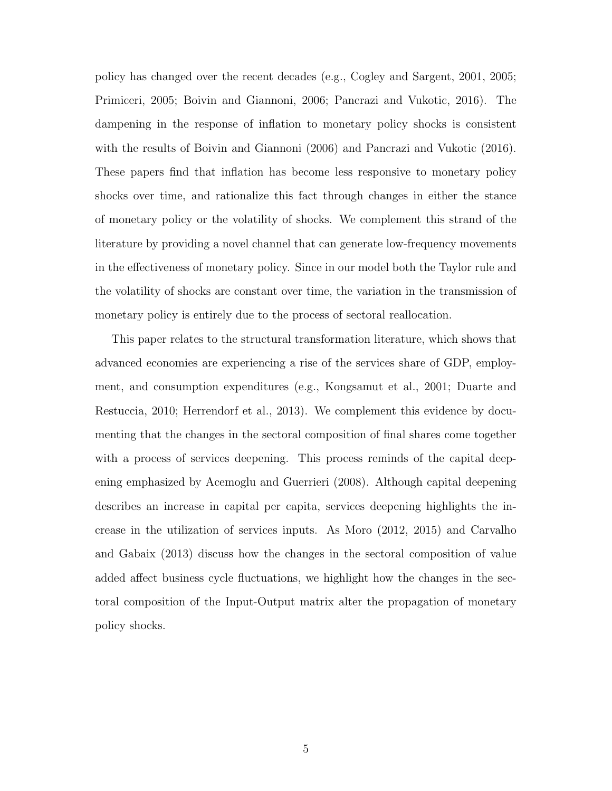policy has changed over the recent decades (e.g., Cogley and Sargent, 2001, 2005; Primiceri, 2005; Boivin and Giannoni, 2006; Pancrazi and Vukotic, 2016). The dampening in the response of inflation to monetary policy shocks is consistent with the results of Boivin and Giannoni (2006) and Pancrazi and Vukotic (2016). These papers find that inflation has become less responsive to monetary policy shocks over time, and rationalize this fact through changes in either the stance of monetary policy or the volatility of shocks. We complement this strand of the literature by providing a novel channel that can generate low-frequency movements in the effectiveness of monetary policy. Since in our model both the Taylor rule and the volatility of shocks are constant over time, the variation in the transmission of monetary policy is entirely due to the process of sectoral reallocation.

This paper relates to the structural transformation literature, which shows that advanced economies are experiencing a rise of the services share of GDP, employment, and consumption expenditures (e.g., Kongsamut et al., 2001; Duarte and Restuccia, 2010; Herrendorf et al., 2013). We complement this evidence by documenting that the changes in the sectoral composition of final shares come together with a process of services deepening. This process reminds of the capital deepening emphasized by Acemoglu and Guerrieri (2008). Although capital deepening describes an increase in capital per capita, services deepening highlights the increase in the utilization of services inputs. As Moro (2012, 2015) and Carvalho and Gabaix (2013) discuss how the changes in the sectoral composition of value added affect business cycle fluctuations, we highlight how the changes in the sectoral composition of the Input-Output matrix alter the propagation of monetary policy shocks.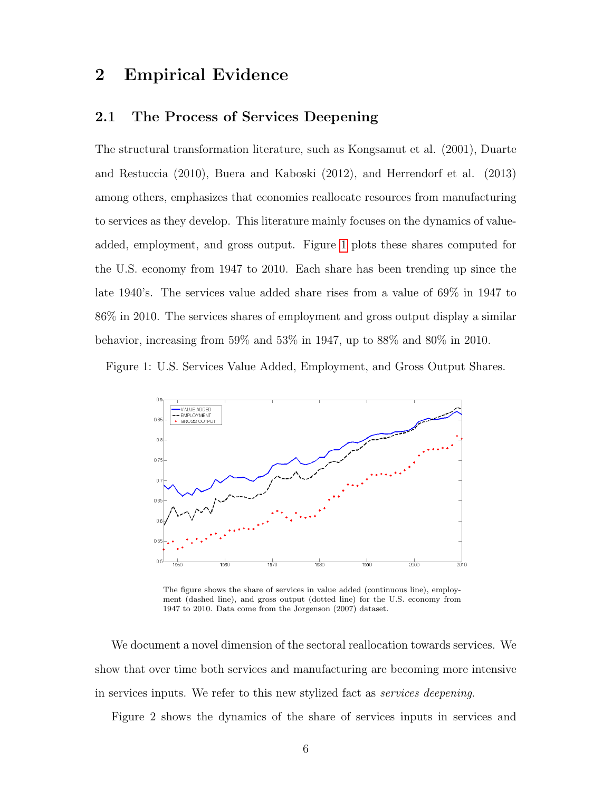# 2 Empirical Evidence

## 2.1 The Process of Services Deepening

The structural transformation literature, such as Kongsamut et al. (2001), Duarte and Restuccia (2010), Buera and Kaboski (2012), and Herrendorf et al. (2013) among others, emphasizes that economies reallocate resources from manufacturing to services as they develop. This literature mainly focuses on the dynamics of valueadded, employment, and gross output. Figure [1](#page-5-0) plots these shares computed for the U.S. economy from 1947 to 2010. Each share has been trending up since the late 1940's. The services value added share rises from a value of 69% in 1947 to 86% in 2010. The services shares of employment and gross output display a similar behavior, increasing from 59% and 53% in 1947, up to 88% and 80% in 2010.

<span id="page-5-0"></span>Figure 1: U.S. Services Value Added, Employment, and Gross Output Shares.



The figure shows the share of services in value added (continuous line), employment (dashed line), and gross output (dotted line) for the U.S. economy from 1947 to 2010. Data come from the Jorgenson (2007) dataset.

We document a novel dimension of the sectoral reallocation towards services. We show that over time both services and manufacturing are becoming more intensive in services inputs. We refer to this new stylized fact as services deepening.

Figure 2 shows the dynamics of the share of services inputs in services and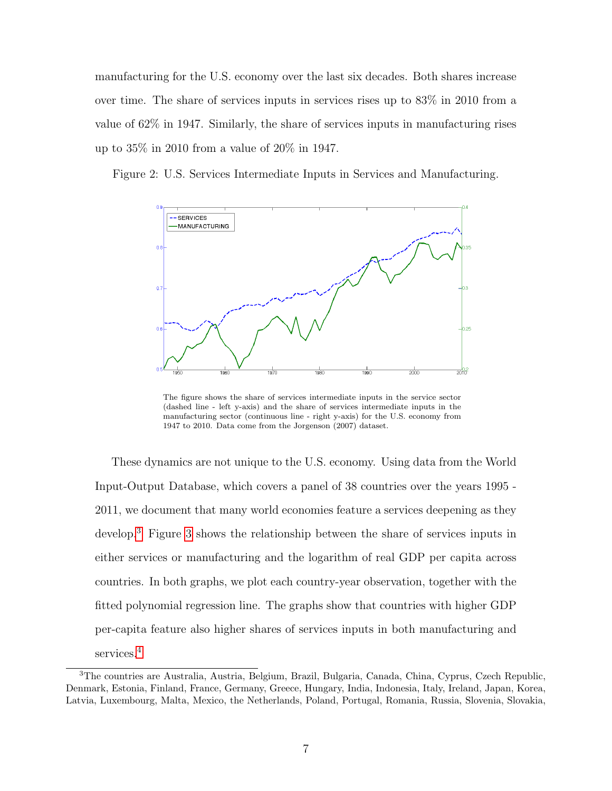manufacturing for the U.S. economy over the last six decades. Both shares increase over time. The share of services inputs in services rises up to 83% in 2010 from a value of 62% in 1947. Similarly, the share of services inputs in manufacturing rises up to 35% in 2010 from a value of 20% in 1947.





The figure shows the share of services intermediate inputs in the service sector (dashed line - left y-axis) and the share of services intermediate inputs in the manufacturing sector (continuous line - right y-axis) for the U.S. economy from 1947 to 2010. Data come from the Jorgenson (2007) dataset.

These dynamics are not unique to the U.S. economy. Using data from the World Input-Output Database, which covers a panel of 38 countries over the years 1995 - 2011, we document that many world economies feature a services deepening as they develop.[3](#page-6-0) Figure [3](#page-7-0) shows the relationship between the share of services inputs in either services or manufacturing and the logarithm of real GDP per capita across countries. In both graphs, we plot each country-year observation, together with the fitted polynomial regression line. The graphs show that countries with higher GDP per-capita feature also higher shares of services inputs in both manufacturing and services.[4](#page-8-0)

<span id="page-6-0"></span><sup>3</sup>The countries are Australia, Austria, Belgium, Brazil, Bulgaria, Canada, China, Cyprus, Czech Republic, Denmark, Estonia, Finland, France, Germany, Greece, Hungary, India, Indonesia, Italy, Ireland, Japan, Korea, Latvia, Luxembourg, Malta, Mexico, the Netherlands, Poland, Portugal, Romania, Russia, Slovenia, Slovakia,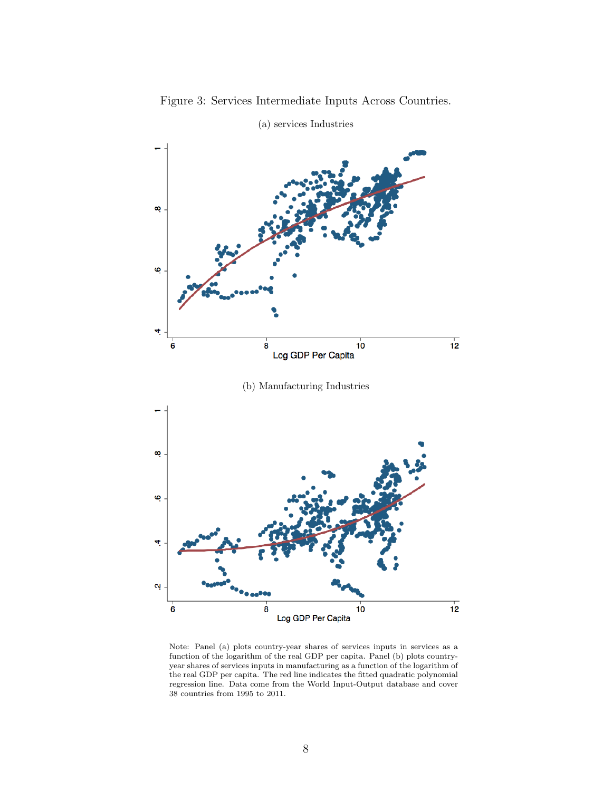<span id="page-7-0"></span>

Figure 3: Services Intermediate Inputs Across Countries.

Note: Panel (a) plots country-year shares of services inputs in services as a function of the logarithm of the real GDP per capita. Panel (b) plots countryyear shares of services inputs in manufacturing as a function of the logarithm of the real GDP per capita. The red line indicates the fitted quadratic polynomial regression line. Data come from the World Input-Output database and cover 38 countries from 1995 to 2011.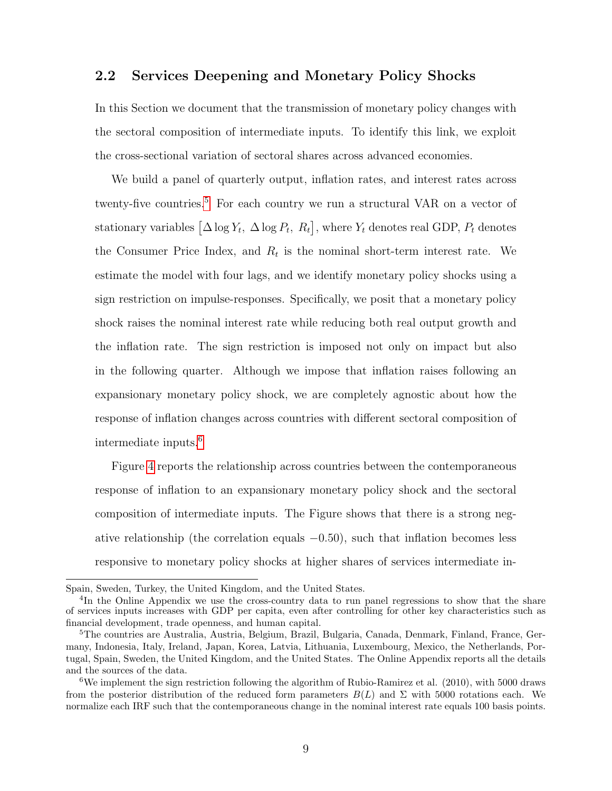### <span id="page-8-3"></span>2.2 Services Deepening and Monetary Policy Shocks

In this Section we document that the transmission of monetary policy changes with the sectoral composition of intermediate inputs. To identify this link, we exploit the cross-sectional variation of sectoral shares across advanced economies.

We build a panel of quarterly output, inflation rates, and interest rates across twenty-five countries.<sup>[5](#page-8-1)</sup> For each country we run a structural VAR on a vector of stationary variables  $\left[\Delta \log Y_t, \ \Delta \log P_t, \ R_t\right]$ , where  $Y_t$  denotes real GDP,  $P_t$  denotes the Consumer Price Index, and  $R_t$  is the nominal short-term interest rate. We estimate the model with four lags, and we identify monetary policy shocks using a sign restriction on impulse-responses. Specifically, we posit that a monetary policy shock raises the nominal interest rate while reducing both real output growth and the inflation rate. The sign restriction is imposed not only on impact but also in the following quarter. Although we impose that inflation raises following an expansionary monetary policy shock, we are completely agnostic about how the response of inflation changes across countries with different sectoral composition of intermediate inputs.[6](#page-8-2)

Figure [4](#page-9-0) reports the relationship across countries between the contemporaneous response of inflation to an expansionary monetary policy shock and the sectoral composition of intermediate inputs. The Figure shows that there is a strong negative relationship (the correlation equals  $-0.50$ ), such that inflation becomes less responsive to monetary policy shocks at higher shares of services intermediate in-

Spain, Sweden, Turkey, the United Kingdom, and the United States.

<span id="page-8-0"></span><sup>&</sup>lt;sup>4</sup>In the Online Appendix we use the cross-country data to run panel regressions to show that the share of services inputs increases with GDP per capita, even after controlling for other key characteristics such as financial development, trade openness, and human capital.

<span id="page-8-1"></span><sup>5</sup>The countries are Australia, Austria, Belgium, Brazil, Bulgaria, Canada, Denmark, Finland, France, Germany, Indonesia, Italy, Ireland, Japan, Korea, Latvia, Lithuania, Luxembourg, Mexico, the Netherlands, Portugal, Spain, Sweden, the United Kingdom, and the United States. The Online Appendix reports all the details and the sources of the data.

<span id="page-8-2"></span><sup>6</sup>We implement the sign restriction following the algorithm of Rubio-Ramirez et al. (2010), with 5000 draws from the posterior distribution of the reduced form parameters  $B(L)$  and  $\Sigma$  with 5000 rotations each. We normalize each IRF such that the contemporaneous change in the nominal interest rate equals 100 basis points.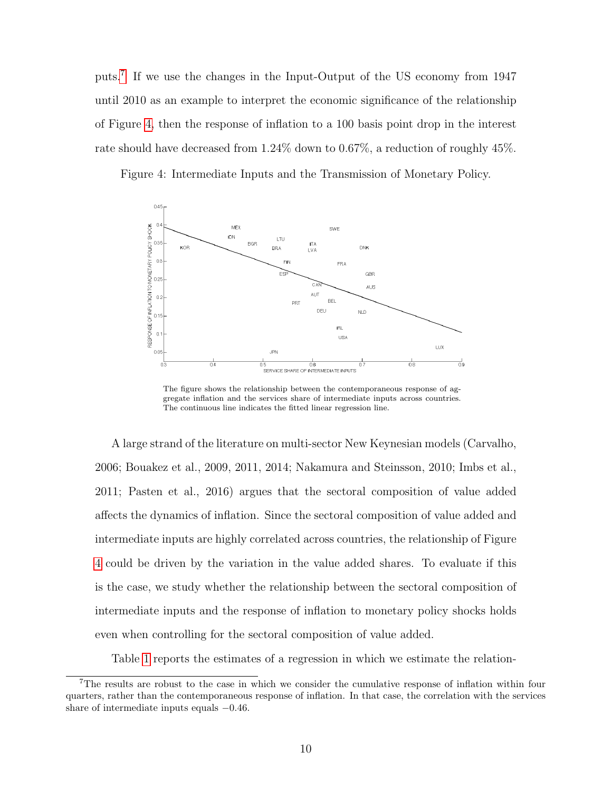puts.[7](#page-9-1) If we use the changes in the Input-Output of the US economy from 1947 until 2010 as an example to interpret the economic significance of the relationship of Figure [4,](#page-9-0) then the response of inflation to a 100 basis point drop in the interest rate should have decreased from 1.24% down to 0.67%, a reduction of roughly 45%.

<span id="page-9-0"></span>Figure 4: Intermediate Inputs and the Transmission of Monetary Policy.



The figure shows the relationship between the contemporaneous response of aggregate inflation and the services share of intermediate inputs across countries. The continuous line indicates the fitted linear regression line.

A large strand of the literature on multi-sector New Keynesian models (Carvalho, 2006; Bouakez et al., 2009, 2011, 2014; Nakamura and Steinsson, 2010; Imbs et al., 2011; Pasten et al., 2016) argues that the sectoral composition of value added affects the dynamics of inflation. Since the sectoral composition of value added and intermediate inputs are highly correlated across countries, the relationship of Figure [4](#page-9-0) could be driven by the variation in the value added shares. To evaluate if this is the case, we study whether the relationship between the sectoral composition of intermediate inputs and the response of inflation to monetary policy shocks holds even when controlling for the sectoral composition of value added.

Table [1](#page-10-0) reports the estimates of a regression in which we estimate the relation-

<span id="page-9-1"></span><sup>7</sup>The results are robust to the case in which we consider the cumulative response of inflation within four quarters, rather than the contemporaneous response of inflation. In that case, the correlation with the services share of intermediate inputs equals −0.46.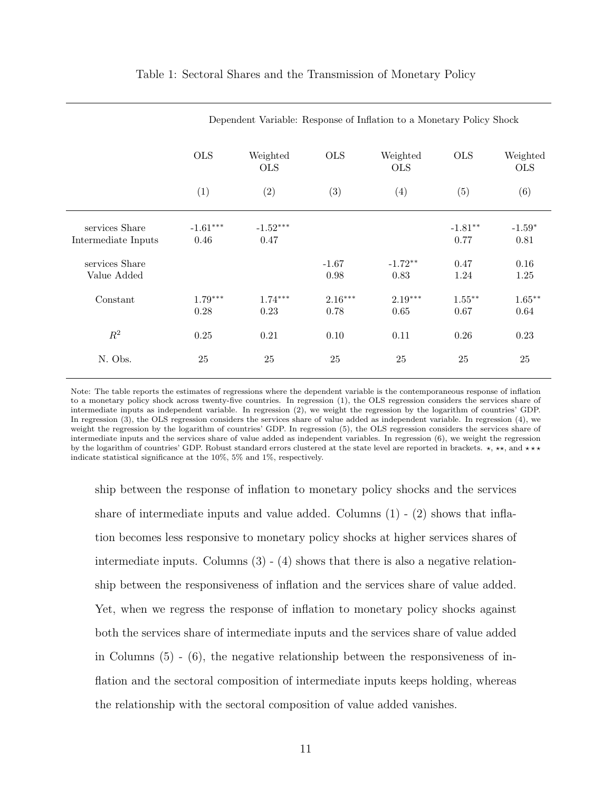<span id="page-10-0"></span>

|                                       | Dependent Variable: Response of Inflation to a Monetary Policy Shock |                        |                   |                        |                   |                        |
|---------------------------------------|----------------------------------------------------------------------|------------------------|-------------------|------------------------|-------------------|------------------------|
|                                       | <b>OLS</b>                                                           | Weighted<br><b>OLS</b> | <b>OLS</b>        | Weighted<br><b>OLS</b> | <b>OLS</b>        | Weighted<br><b>OLS</b> |
|                                       | (1)                                                                  | (2)                    | (3)               | (4)                    | (5)               | (6)                    |
| services Share<br>Intermediate Inputs | $-1.61***$<br>0.46                                                   | $-1.52***$<br>0.47     |                   |                        | $-1.81**$<br>0.77 | $-1.59*$<br>0.81       |
| services Share<br>Value Added         |                                                                      |                        | $-1.67$<br>0.98   | $-1.72**$<br>0.83      | 0.47<br>1.24      | 0.16<br>1.25           |
| Constant                              | $1.79***$<br>0.28                                                    | $1.74***$<br>0.23      | $2.16***$<br>0.78 | $2.19***$<br>0.65      | $1.55***$<br>0.67 | $1.65***$<br>0.64      |
| $R^2$                                 | 0.25                                                                 | 0.21                   | 0.10              | 0.11                   | 0.26              | 0.23                   |
| N. Obs.                               | 25                                                                   | 25                     | 25                | $25\,$                 | 25                | $25\,$                 |

#### Table 1: Sectoral Shares and the Transmission of Monetary Policy

Note: The table reports the estimates of regressions where the dependent variable is the contemporaneous response of inflation to a monetary policy shock across twenty-five countries. In regression (1), the OLS regression considers the services share of intermediate inputs as independent variable. In regression (2), we weight the regression by the logarithm of countries' GDP. In regression (3), the OLS regression considers the services share of value added as independent variable. In regression (4), we weight the regression by the logarithm of countries' GDP. In regression (5), the OLS regression considers the services share of intermediate inputs and the services share of value added as independent variables. In regression (6), we weight the regression by the logarithm of countries' GDP. Robust standard errors clustered at the state level are reported in brackets.  $\star$ ,  $\star\star$ , and  $\star\star\star$ indicate statistical significance at the 10%, 5% and 1%, respectively.

ship between the response of inflation to monetary policy shocks and the services share of intermediate inputs and value added. Columns  $(1)$  -  $(2)$  shows that inflation becomes less responsive to monetary policy shocks at higher services shares of intermediate inputs. Columns  $(3)$  -  $(4)$  shows that there is also a negative relationship between the responsiveness of inflation and the services share of value added. Yet, when we regress the response of inflation to monetary policy shocks against both the services share of intermediate inputs and the services share of value added in Columns  $(5)$  -  $(6)$ , the negative relationship between the responsiveness of inflation and the sectoral composition of intermediate inputs keeps holding, whereas the relationship with the sectoral composition of value added vanishes.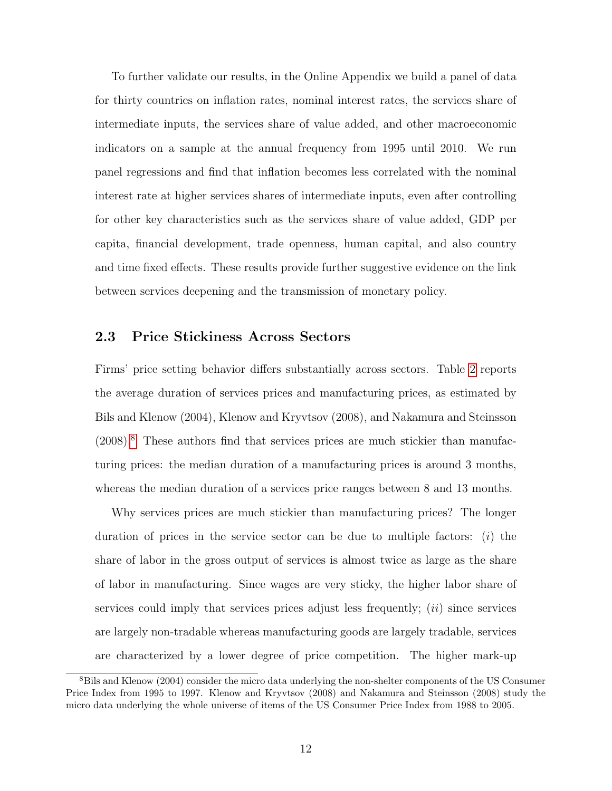To further validate our results, in the Online Appendix we build a panel of data for thirty countries on inflation rates, nominal interest rates, the services share of intermediate inputs, the services share of value added, and other macroeconomic indicators on a sample at the annual frequency from 1995 until 2010. We run panel regressions and find that inflation becomes less correlated with the nominal interest rate at higher services shares of intermediate inputs, even after controlling for other key characteristics such as the services share of value added, GDP per capita, financial development, trade openness, human capital, and also country and time fixed effects. These results provide further suggestive evidence on the link between services deepening and the transmission of monetary policy.

## <span id="page-11-0"></span>2.3 Price Stickiness Across Sectors

Firms' price setting behavior differs substantially across sectors. Table [2](#page-12-0) reports the average duration of services prices and manufacturing prices, as estimated by Bils and Klenow (2004), Klenow and Kryvtsov (2008), and Nakamura and Steinsson  $(2008).$  $(2008).$  $(2008).$ <sup>8</sup> These authors find that services prices are much stickier than manufacturing prices: the median duration of a manufacturing prices is around 3 months, whereas the median duration of a services price ranges between 8 and 13 months.

Why services prices are much stickier than manufacturing prices? The longer duration of prices in the service sector can be due to multiple factors:  $(i)$  the share of labor in the gross output of services is almost twice as large as the share of labor in manufacturing. Since wages are very sticky, the higher labor share of services could imply that services prices adjust less frequently;  $(ii)$  since services are largely non-tradable whereas manufacturing goods are largely tradable, services are characterized by a lower degree of price competition. The higher mark-up

<span id="page-11-1"></span><sup>&</sup>lt;sup>8</sup>Bils and Klenow (2004) consider the micro data underlying the non-shelter components of the US Consumer Price Index from 1995 to 1997. Klenow and Kryvtsov (2008) and Nakamura and Steinsson (2008) study the micro data underlying the whole universe of items of the US Consumer Price Index from 1988 to 2005.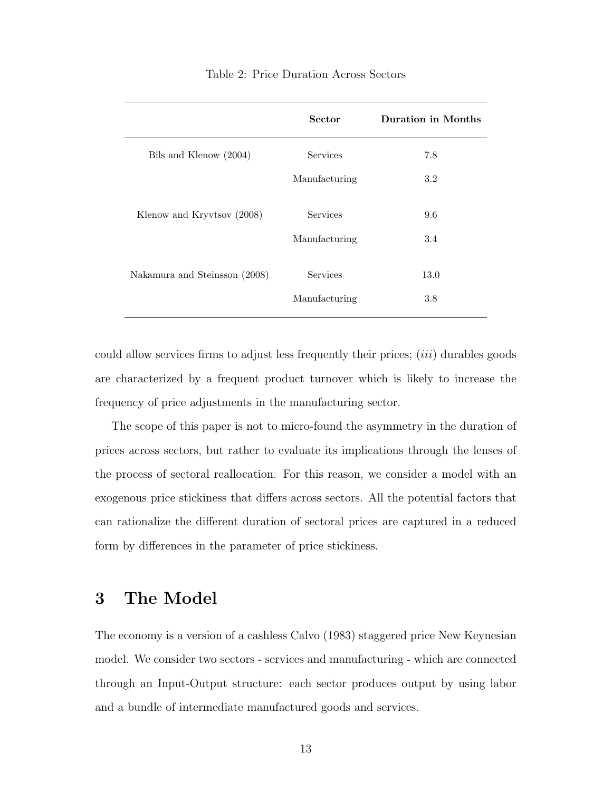<span id="page-12-0"></span>

|                               | <b>Sector</b>   | <b>Duration in Months</b> |
|-------------------------------|-----------------|---------------------------|
| Bils and Klenow (2004)        | Services        | 7.8                       |
|                               | Manufacturing   | 3.2                       |
| Klenow and Kryvtsov (2008)    | Services        | 9.6                       |
|                               | Manufacturing   | 3.4                       |
| Nakamura and Steinsson (2008) | <b>Services</b> | 13.0                      |
|                               | Manufacturing   | 3.8                       |

#### Table 2: Price Duration Across Sectors

could allow services firms to adjust less frequently their prices; *(iii)* durables goods are characterized by a frequent product turnover which is likely to increase the frequency of price adjustments in the manufacturing sector.

The scope of this paper is not to micro-found the asymmetry in the duration of prices across sectors, but rather to evaluate its implications through the lenses of the process of sectoral reallocation. For this reason, we consider a model with an exogenous price stickiness that differs across sectors. All the potential factors that can rationalize the different duration of sectoral prices are captured in a reduced form by differences in the parameter of price stickiness.

# 3 The Model

The economy is a version of a cashless Calvo (1983) staggered price New Keynesian model. We consider two sectors - services and manufacturing - which are connected through an Input-Output structure: each sector produces output by using labor and a bundle of intermediate manufactured goods and services.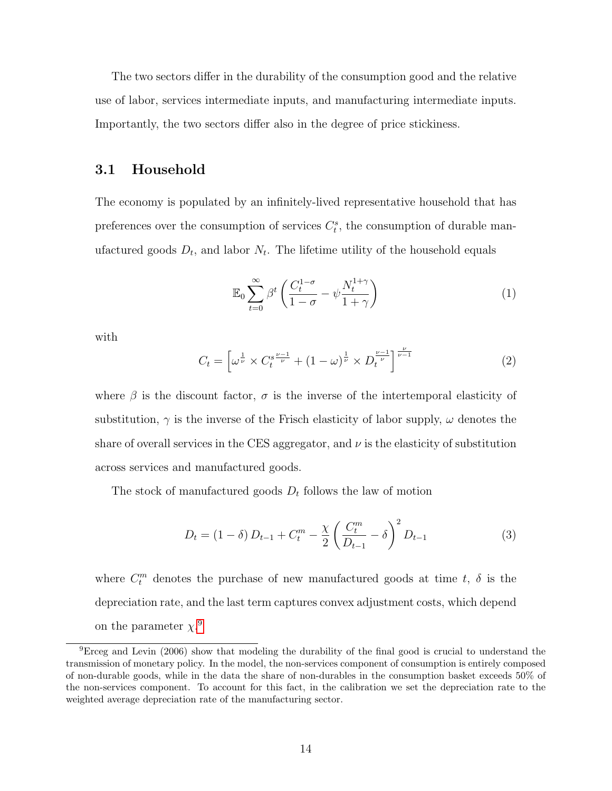The two sectors differ in the durability of the consumption good and the relative use of labor, services intermediate inputs, and manufacturing intermediate inputs. Importantly, the two sectors differ also in the degree of price stickiness.

### 3.1 Household

The economy is populated by an infinitely-lived representative household that has preferences over the consumption of services  $C_t^s$ , the consumption of durable manufactured goods  $D_t$ , and labor  $N_t$ . The lifetime utility of the household equals

<span id="page-13-1"></span>
$$
\mathbb{E}_0 \sum_{t=0}^{\infty} \beta^t \left( \frac{C_t^{1-\sigma}}{1-\sigma} - \psi \frac{N_t^{1+\gamma}}{1+\gamma} \right) \tag{1}
$$

with

$$
C_t = \left[ \omega^{\frac{1}{\nu}} \times C_t^{s^{\frac{\nu-1}{\nu}}} + (1 - \omega)^{\frac{1}{\nu}} \times D_t^{\frac{\nu-1}{\nu}} \right]^{\frac{\nu}{\nu-1}}
$$
(2)

where  $\beta$  is the discount factor,  $\sigma$  is the inverse of the intertemporal elasticity of substitution,  $\gamma$  is the inverse of the Frisch elasticity of labor supply,  $\omega$  denotes the share of overall services in the CES aggregator, and  $\nu$  is the elasticity of substitution across services and manufactured goods.

The stock of manufactured goods  $D_t$  follows the law of motion

$$
D_t = (1 - \delta) D_{t-1} + C_t^m - \frac{\chi}{2} \left( \frac{C_t^m}{D_{t-1}} - \delta \right)^2 D_{t-1}
$$
 (3)

where  $C_t^m$  denotes the purchase of new manufactured goods at time t,  $\delta$  is the depreciation rate, and the last term captures convex adjustment costs, which depend on the parameter  $\chi$ <sup>[9](#page-13-0)</sup>

<span id="page-13-0"></span> ${}^{9}$ Erceg and Levin (2006) show that modeling the durability of the final good is crucial to understand the transmission of monetary policy. In the model, the non-services component of consumption is entirely composed of non-durable goods, while in the data the share of non-durables in the consumption basket exceeds 50% of the non-services component. To account for this fact, in the calibration we set the depreciation rate to the weighted average depreciation rate of the manufacturing sector.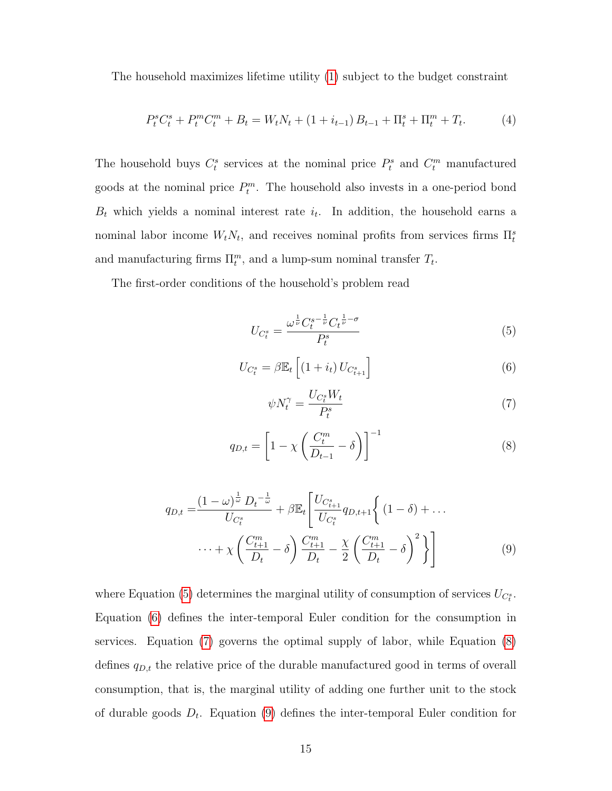The household maximizes lifetime utility [\(1\)](#page-13-1) subject to the budget constraint

$$
P_t^s C_t^s + P_t^m C_t^m + B_t = W_t N_t + (1 + i_{t-1}) B_{t-1} + \Pi_t^s + \Pi_t^m + T_t.
$$
 (4)

The household buys  $C_t^s$  services at the nominal price  $P_t^s$  and  $C_t^m$  manufactured goods at the nominal price  $P_t^m$ . The household also invests in a one-period bond  $B_t$  which yields a nominal interest rate  $i_t$ . In addition, the household earns a nominal labor income  $W_t N_t$ , and receives nominal profits from services firms  $\prod_t^s$ and manufacturing firms  $\Pi_t^m$ , and a lump-sum nominal transfer  $T_t$ .

The first-order conditions of the household's problem read

<span id="page-14-0"></span>
$$
U_{C_t^s} = \frac{\omega^{\frac{1}{\nu}} C_t^{s-\frac{1}{\nu}} C_t^{\frac{1}{\nu}-\sigma}}{P_t^s}
$$
(5)

<span id="page-14-1"></span>
$$
U_{C_t^s} = \beta \mathbb{E}_t \left[ (1 + i_t) U_{C_{t+1}^s} \right]
$$
 (6)

<span id="page-14-4"></span><span id="page-14-2"></span>
$$
\psi N_t^{\gamma} = \frac{U_{C_t^s} W_t}{P_t^s} \tag{7}
$$

<span id="page-14-3"></span>
$$
q_{D,t} = \left[1 - \chi \left(\frac{C_t^m}{D_{t-1}} - \delta\right)\right]^{-1} \tag{8}
$$

$$
q_{D,t} = \frac{(1-\omega)^{\frac{1}{\omega}} D_t^{-\frac{1}{\omega}}}{U_{C_t^s}} + \beta \mathbb{E}_t \left[ \frac{U_{C_{t+1}^s}}{U_{C_t^s}} q_{D,t+1} \left\{ (1-\delta) + \dots \right. \right. \\ \left. \dots + \chi \left( \frac{C_{t+1}^m}{D_t} - \delta \right) \frac{C_{t+1}^m}{D_t} - \frac{\chi}{2} \left( \frac{C_{t+1}^m}{D_t} - \delta \right)^2 \right\} \right] \tag{9}
$$

where Equation [\(5\)](#page-14-0) determines the marginal utility of consumption of services  $U_{C_t^s}$ . Equation [\(6\)](#page-14-1) defines the inter-temporal Euler condition for the consumption in services. Equation [\(7\)](#page-14-2) governs the optimal supply of labor, while Equation [\(8\)](#page-14-3) defines  $q_{D,t}$  the relative price of the durable manufactured good in terms of overall consumption, that is, the marginal utility of adding one further unit to the stock of durable goods  $D_t$ . Equation [\(9\)](#page-14-4) defines the inter-temporal Euler condition for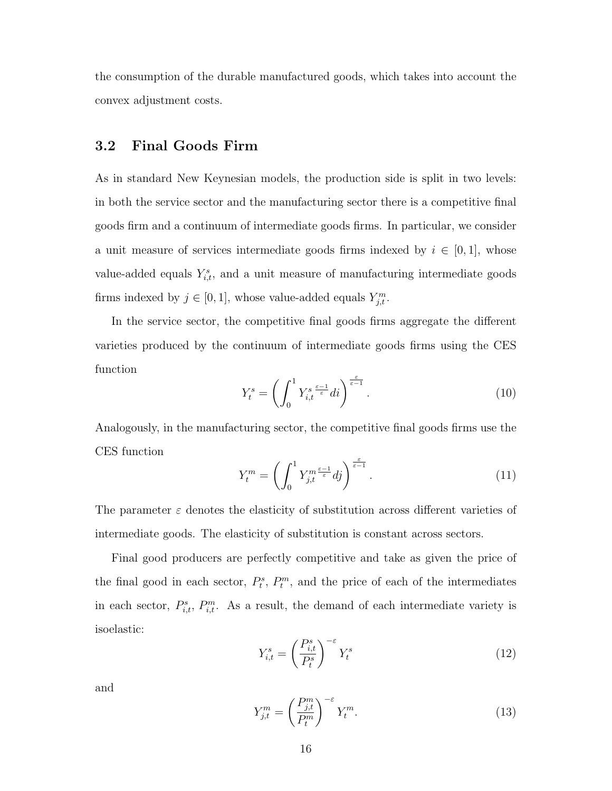the consumption of the durable manufactured goods, which takes into account the convex adjustment costs.

### 3.2 Final Goods Firm

As in standard New Keynesian models, the production side is split in two levels: in both the service sector and the manufacturing sector there is a competitive final goods firm and a continuum of intermediate goods firms. In particular, we consider a unit measure of services intermediate goods firms indexed by  $i \in [0,1]$ , whose value-added equals  $Y_{i,t}^s$ , and a unit measure of manufacturing intermediate goods firms indexed by  $j \in [0, 1]$ , whose value-added equals  $Y_{j,t}^m$ .

In the service sector, the competitive final goods firms aggregate the different varieties produced by the continuum of intermediate goods firms using the CES function

$$
Y_t^s = \left(\int_0^1 Y_{i,t}^{s} \frac{\epsilon - 1}{\epsilon} di\right)^{\frac{\epsilon}{\epsilon - 1}}.\tag{10}
$$

Analogously, in the manufacturing sector, the competitive final goods firms use the CES function

$$
Y_t^m = \left(\int_0^1 Y_{j,t}^{m \frac{\varepsilon - 1}{\varepsilon}} dj\right)^{\frac{\varepsilon}{\varepsilon - 1}}.\tag{11}
$$

The parameter  $\varepsilon$  denotes the elasticity of substitution across different varieties of intermediate goods. The elasticity of substitution is constant across sectors.

Final good producers are perfectly competitive and take as given the price of the final good in each sector,  $P_t^s$ ,  $P_t^m$ , and the price of each of the intermediates in each sector,  $P_{i,t}^s$ ,  $P_{i,t}^m$ . As a result, the demand of each intermediate variety is isoelastic:

<span id="page-15-0"></span>
$$
Y_{i,t}^s = \left(\frac{P_{i,t}^s}{P_t^s}\right)^{-\varepsilon} Y_t^s \tag{12}
$$

and

<span id="page-15-1"></span>
$$
Y_{j,t}^m = \left(\frac{P_{j,t}^m}{P_t^m}\right)^{-\varepsilon} Y_t^m.
$$
\n(13)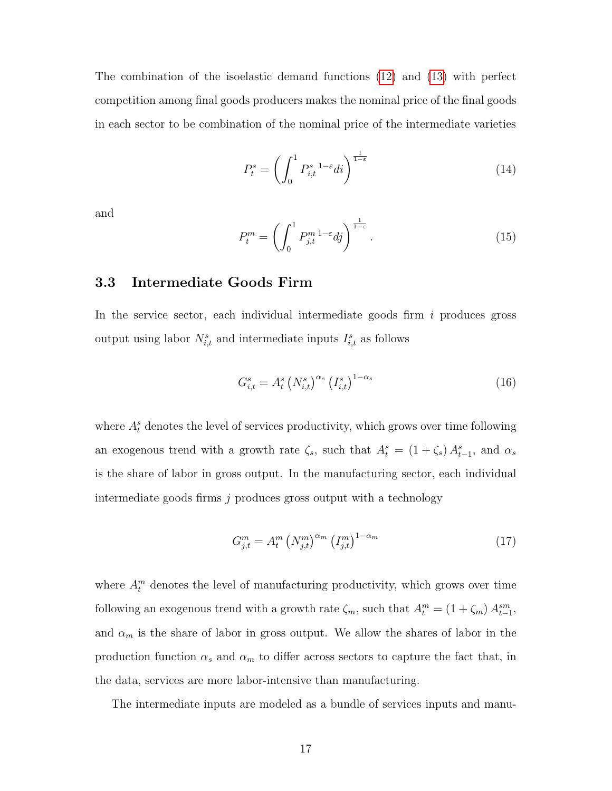The combination of the isoelastic demand functions [\(12\)](#page-15-0) and [\(13\)](#page-15-1) with perfect competition among final goods producers makes the nominal price of the final goods in each sector to be combination of the nominal price of the intermediate varieties

$$
P_t^s = \left(\int_0^1 P_{i,t}^{s-1-\varepsilon} di\right)^{\frac{1}{1-\varepsilon}}\tag{14}
$$

and

$$
P_t^m = \left(\int_0^1 P_{j,t}^{m} e^{1-\varepsilon} \, d\tilde{j}\right)^{\frac{1}{1-\varepsilon}}.\tag{15}
$$

### 3.3 Intermediate Goods Firm

In the service sector, each individual intermediate goods firm  $i$  produces gross output using labor  $N_{i,t}^s$  and intermediate inputs  $I_{i,t}^s$  as follows

<span id="page-16-0"></span>
$$
G_{i,t}^{s} = A_{t}^{s} \left( N_{i,t}^{s} \right)^{\alpha_{s}} \left( I_{i,t}^{s} \right)^{1-\alpha_{s}} \tag{16}
$$

where  $A_t^s$  denotes the level of services productivity, which grows over time following an exogenous trend with a growth rate  $\zeta_s$ , such that  $A_t^s = (1 + \zeta_s) A_{t-1}^s$ , and  $\alpha_s$ is the share of labor in gross output. In the manufacturing sector, each individual intermediate goods firms j produces gross output with a technology

<span id="page-16-1"></span>
$$
G_{j,t}^m = A_t^m \left( N_{j,t}^m \right)^{\alpha_m} \left( I_{j,t}^m \right)^{1-\alpha_m} \tag{17}
$$

where  $A_t^m$  denotes the level of manufacturing productivity, which grows over time following an exogenous trend with a growth rate  $\zeta_m$ , such that  $A_t^m = (1 + \zeta_m) A_{t-1}^{sm}$ , and  $\alpha_m$  is the share of labor in gross output. We allow the shares of labor in the production function  $\alpha_s$  and  $\alpha_m$  to differ across sectors to capture the fact that, in the data, services are more labor-intensive than manufacturing.

The intermediate inputs are modeled as a bundle of services inputs and manu-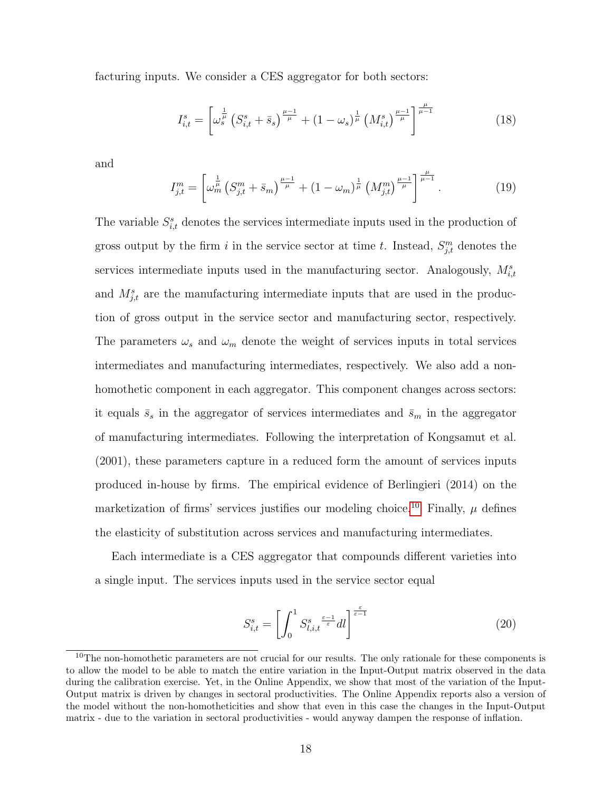facturing inputs. We consider a CES aggregator for both sectors:

<span id="page-17-1"></span>
$$
I_{i,t}^s = \left[ \omega_s^{\frac{1}{\mu}} \left( S_{i,t}^s + \bar{s}_s \right)^{\frac{\mu - 1}{\mu}} + \left( 1 - \omega_s \right)^{\frac{1}{\mu}} \left( M_{i,t}^s \right)^{\frac{\mu - 1}{\mu}} \right]^{\frac{\mu}{\mu - 1}}
$$
(18)

and

<span id="page-17-2"></span>
$$
I_{j,t}^m = \left[ \omega_m^{\frac{1}{\mu}} \left( S_{j,t}^m + \bar{s}_m \right)^{\frac{\mu - 1}{\mu}} + \left( 1 - \omega_m \right)^{\frac{1}{\mu}} \left( M_{j,t}^m \right)^{\frac{\mu - 1}{\mu}} \right]^{\frac{\mu}{\mu - 1}}. \tag{19}
$$

The variable  $S_{i,t}^s$  denotes the services intermediate inputs used in the production of gross output by the firm i in the service sector at time t. Instead,  $S_{j,t}^m$  denotes the services intermediate inputs used in the manufacturing sector. Analogously,  $M_{i,t}^s$ and  $M_{j,t}^s$  are the manufacturing intermediate inputs that are used in the production of gross output in the service sector and manufacturing sector, respectively. The parameters  $\omega_s$  and  $\omega_m$  denote the weight of services inputs in total services intermediates and manufacturing intermediates, respectively. We also add a nonhomothetic component in each aggregator. This component changes across sectors: it equals  $\bar{s}_s$  in the aggregator of services intermediates and  $\bar{s}_m$  in the aggregator of manufacturing intermediates. Following the interpretation of Kongsamut et al. (2001), these parameters capture in a reduced form the amount of services inputs produced in-house by firms. The empirical evidence of Berlingieri (2014) on the marketization of firms' services justifies our modeling choice.<sup>[10](#page-17-0)</sup> Finally,  $\mu$  defines the elasticity of substitution across services and manufacturing intermediates.

Each intermediate is a CES aggregator that compounds different varieties into a single input. The services inputs used in the service sector equal

$$
S_{i,t}^s = \left[ \int_0^1 S_{l,i,t}^s \frac{\epsilon - 1}{\epsilon} dl \right]^{\frac{\epsilon}{\epsilon - 1}}
$$
 (20)

<span id="page-17-0"></span> $10$ The non-homothetic parameters are not crucial for our results. The only rationale for these components is to allow the model to be able to match the entire variation in the Input-Output matrix observed in the data during the calibration exercise. Yet, in the Online Appendix, we show that most of the variation of the Input-Output matrix is driven by changes in sectoral productivities. The Online Appendix reports also a version of the model without the non-homotheticities and show that even in this case the changes in the Input-Output matrix - due to the variation in sectoral productivities - would anyway dampen the response of inflation.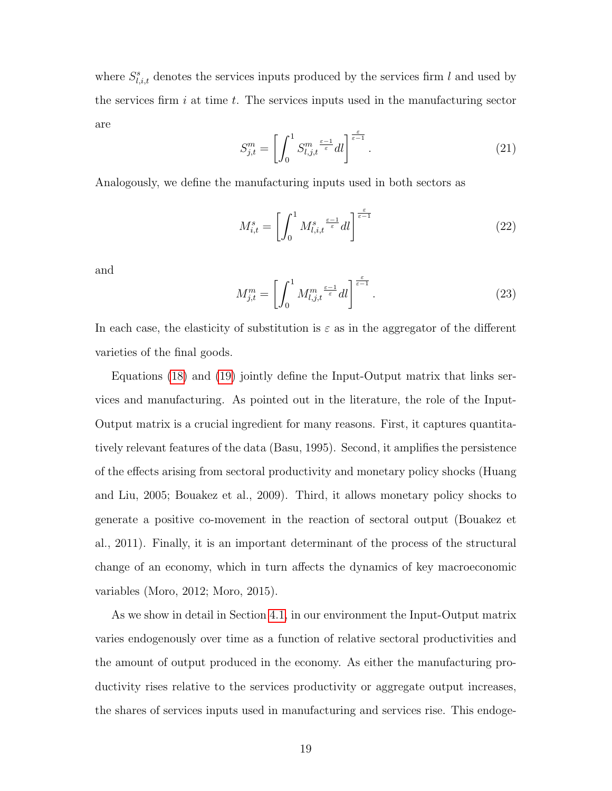where  $S_{l,i,t}^s$  denotes the services inputs produced by the services firm l and used by the services firm i at time t. The services inputs used in the manufacturing sector are

$$
S_{j,t}^m = \left[ \int_0^1 S_{l,j,t}^m \frac{\epsilon - 1}{\epsilon} dl \right]^{\frac{\epsilon}{\epsilon - 1}}.
$$
 (21)

Analogously, we define the manufacturing inputs used in both sectors as

$$
M_{i,t}^s = \left[ \int_0^1 M_{l,i,t}^s \frac{\varepsilon - 1}{\varepsilon} dl \right]^\frac{\varepsilon}{\varepsilon - 1}
$$
 (22)

and

$$
M_{j,t}^m = \left[ \int_0^1 M_{l,j,t}^m \frac{\varepsilon - 1}{\varepsilon} dl \right] \frac{\varepsilon}{\varepsilon - 1} . \tag{23}
$$

In each case, the elasticity of substitution is  $\varepsilon$  as in the aggregator of the different varieties of the final goods.

Equations [\(18\)](#page-17-1) and [\(19\)](#page-17-2) jointly define the Input-Output matrix that links services and manufacturing. As pointed out in the literature, the role of the Input-Output matrix is a crucial ingredient for many reasons. First, it captures quantitatively relevant features of the data (Basu, 1995). Second, it amplifies the persistence of the effects arising from sectoral productivity and monetary policy shocks (Huang and Liu, 2005; Bouakez et al., 2009). Third, it allows monetary policy shocks to generate a positive co-movement in the reaction of sectoral output (Bouakez et al., 2011). Finally, it is an important determinant of the process of the structural change of an economy, which in turn affects the dynamics of key macroeconomic variables (Moro, 2012; Moro, 2015).

As we show in detail in Section [4.1,](#page-23-0) in our environment the Input-Output matrix varies endogenously over time as a function of relative sectoral productivities and the amount of output produced in the economy. As either the manufacturing productivity rises relative to the services productivity or aggregate output increases, the shares of services inputs used in manufacturing and services rise. This endoge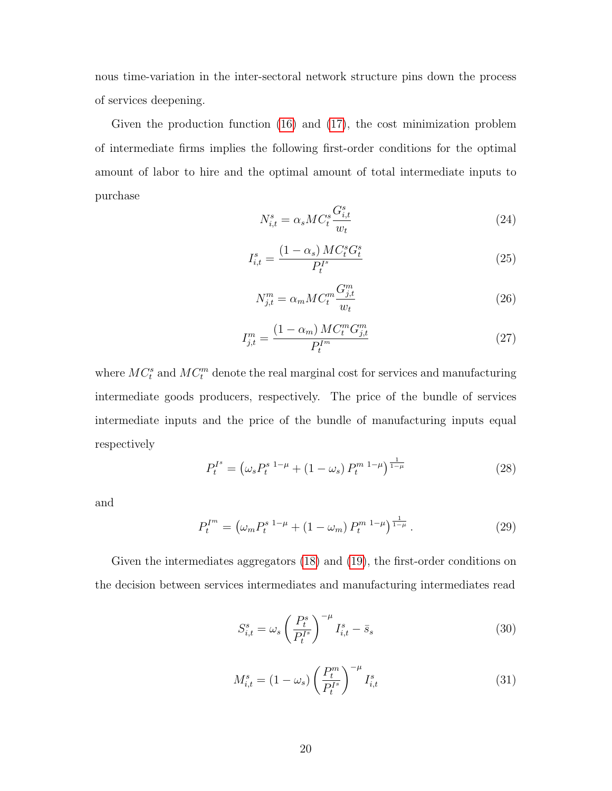nous time-variation in the inter-sectoral network structure pins down the process of services deepening.

Given the production function [\(16\)](#page-16-0) and [\(17\)](#page-16-1), the cost minimization problem of intermediate firms implies the following first-order conditions for the optimal amount of labor to hire and the optimal amount of total intermediate inputs to purchase

$$
N_{i,t}^s = \alpha_s M C_t^s \frac{G_{i,t}^s}{w_t} \tag{24}
$$

$$
I_{i,t}^s = \frac{(1 - \alpha_s) \, MC_t^s G_t^s}{P_t^{Is}} \tag{25}
$$

$$
N_{j,t}^m = \alpha_m M C_t^m \frac{G_{j,t}^m}{w_t} \tag{26}
$$

$$
I_{j,t}^{m} = \frac{(1 - \alpha_m) MC_t^m G_{j,t}^m}{P_t^{I^m}}
$$
\n(27)

where  $MC_t^s$  and  $MC_t^m$  denote the real marginal cost for services and manufacturing intermediate goods producers, respectively. The price of the bundle of services intermediate inputs and the price of the bundle of manufacturing inputs equal respectively

$$
P_t^{I^s} = \left(\omega_s P_t^{s}{}^{1-\mu} + (1-\omega_s) P_t^{m}{}^{1-\mu}\right)^{\frac{1}{1-\mu}}
$$
\n(28)

and

$$
P_t^{I^m} = \left(\omega_m P_t^{s}{}^{1-\mu} + (1-\omega_m) P_t^{m}{}^{1-\mu}\right)^{\frac{1}{1-\mu}}.\tag{29}
$$

Given the intermediates aggregators [\(18\)](#page-17-1) and [\(19\)](#page-17-2), the first-order conditions on the decision between services intermediates and manufacturing intermediates read

$$
S_{i,t}^s = \omega_s \left(\frac{P_t^s}{P_t^{I^s}}\right)^{-\mu} I_{i,t}^s - \bar{s}_s \tag{30}
$$

$$
M_{i,t}^{s} = (1 - \omega_s) \left(\frac{P_t^m}{P_t^{I^s}}\right)^{-\mu} I_{i,t}^{s}
$$
 (31)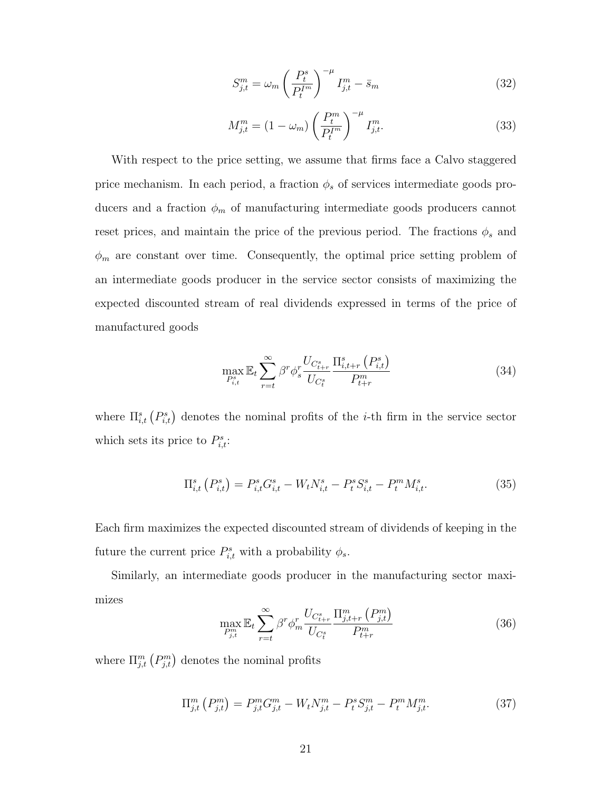$$
S_{j,t}^m = \omega_m \left(\frac{P_t^s}{P_t^{I^m}}\right)^{-\mu} I_{j,t}^m - \bar{s}_m \tag{32}
$$

$$
M_{j,t}^{m} = (1 - \omega_m) \left(\frac{P_t^m}{P_t^{I^m}}\right)^{-\mu} I_{j,t}^{m}.
$$
 (33)

With respect to the price setting, we assume that firms face a Calvo staggered price mechanism. In each period, a fraction  $\phi_s$  of services intermediate goods producers and a fraction  $\phi_m$  of manufacturing intermediate goods producers cannot reset prices, and maintain the price of the previous period. The fractions  $\phi_s$  and  $\phi_m$  are constant over time. Consequently, the optimal price setting problem of an intermediate goods producer in the service sector consists of maximizing the expected discounted stream of real dividends expressed in terms of the price of manufactured goods

$$
\max_{P_{i,t}^s} \mathbb{E}_t \sum_{r=t}^{\infty} \beta^r \phi_s^r \frac{U_{C_{t+r}^s}}{U_{C_t^s}} \frac{\Pi_{i,t+r}^s (P_{i,t}^s)}{P_{t+r}^m} \tag{34}
$$

where  $\Pi_{i,t}^s(P_{i,t}^s)$  denotes the nominal profits of the *i*-th firm in the service sector which sets its price to  $P_{i,t}^s$ :

$$
\Pi_{i,t}^{s}\left(P_{i,t}^{s}\right) = P_{i,t}^{s}G_{i,t}^{s} - W_{t}N_{i,t}^{s} - P_{t}^{s}S_{i,t}^{s} - P_{t}^{m}M_{i,t}^{s}.
$$
\n(35)

Each firm maximizes the expected discounted stream of dividends of keeping in the future the current price  $P_{i,t}^s$  with a probability  $\phi_s$ .

Similarly, an intermediate goods producer in the manufacturing sector maximizes

$$
\max_{P_{j,t}^m} \mathbb{E}_t \sum_{r=t}^{\infty} \beta^r \phi_m^r \frac{U_{C_{t+r}^s}}{U_{C_t^s}} \frac{\Pi_{j,t+r}^m \left(P_{j,t}^m\right)}{P_{t+r}^m} \tag{36}
$$

where  $\Pi_{j,t}^m(P_{j,t}^m)$  denotes the nominal profits

$$
\Pi_{j,t}^{m} \left( P_{j,t}^{m} \right) = P_{j,t}^{m} G_{j,t}^{m} - W_{t} N_{j,t}^{m} - P_{t}^{s} S_{j,t}^{m} - P_{t}^{m} M_{j,t}^{m}.
$$
\n(37)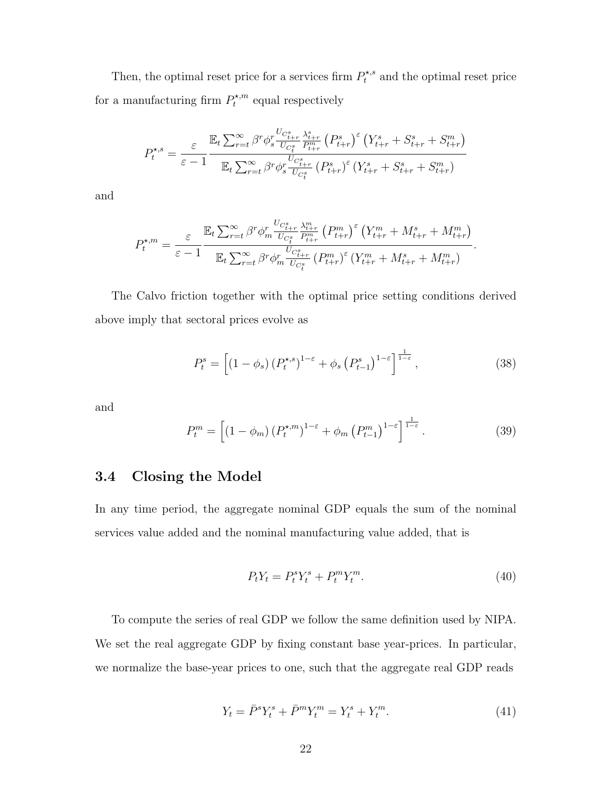Then, the optimal reset price for a services firm  $P_t^{\star,s}$  and the optimal reset price for a manufacturing firm  $P_t^{\star,m}$  $t^{*,m}$  equal respectively

$$
P_{t}^{\star,s} = \frac{\varepsilon}{\varepsilon - 1} \frac{\mathbb{E}_{t} \sum_{r=t}^{\infty} \beta^{r} \phi_{s}^{r} \frac{U_{C_{t+r}^{s}}}{U_{C_{t}^{s}} P_{t+r}^{m}} (P_{t+r}^{s})^{\varepsilon} (Y_{t+r}^{s} + S_{t+r}^{s} + S_{t+r}^{m})}{\mathbb{E}_{t} \sum_{r=t}^{\infty} \beta^{r} \phi_{s}^{r} \frac{U_{C_{t+r}^{s}}}{U_{C_{t}^{s}}} (P_{t+r}^{s})^{\varepsilon} (Y_{t+r}^{s} + S_{t+r}^{s} + S_{t+r}^{m})}
$$

and

$$
P_{t}^{\star,m} = \frac{\varepsilon}{\varepsilon - 1} \frac{\mathbb{E}_{t} \sum_{r=t}^{\infty} \beta^{r} \phi_{m}^{r} \frac{U_{C_{t+r}^{s}}}{U_{C_{t}^{s}}}\frac{\lambda_{t+r}^{m}}{P_{t+r}^{m}} \left(P_{t+r}^{m}\right)^{\varepsilon} \left(Y_{t+r}^{m} + M_{t+r}^{s} + M_{t+r}^{m}\right)}{\mathbb{E}_{t} \sum_{r=t}^{\infty} \beta^{r} \phi_{m}^{r} \frac{U_{C_{t+r}^{s}}}{U_{C_{t}^{s}}}\left(P_{t+r}^{m}\right)^{\varepsilon} \left(Y_{t+r}^{m} + M_{t+r}^{s} + M_{t+r}^{m}\right)}.
$$

The Calvo friction together with the optimal price setting conditions derived above imply that sectoral prices evolve as

$$
P_t^s = \left[ \left( 1 - \phi_s \right) \left( P_t^{\star, s} \right)^{1 - \varepsilon} + \phi_s \left( P_{t-1}^s \right)^{1 - \varepsilon} \right]^{\frac{1}{1 - \varepsilon}},\tag{38}
$$

and

$$
P_t^m = \left[ \left( 1 - \phi_m \right) \left( P_t^{\star,m} \right)^{1-\varepsilon} + \phi_m \left( P_{t-1}^m \right)^{1-\varepsilon} \right]^{\frac{1}{1-\varepsilon}}. \tag{39}
$$

# 3.4 Closing the Model

In any time period, the aggregate nominal GDP equals the sum of the nominal services value added and the nominal manufacturing value added, that is

$$
P_t Y_t = P_t^s Y_t^s + P_t^m Y_t^m. \tag{40}
$$

To compute the series of real GDP we follow the same definition used by NIPA. We set the real aggregate GDP by fixing constant base year-prices. In particular, we normalize the base-year prices to one, such that the aggregate real GDP reads

$$
Y_t = \bar{P}^s Y_t^s + \bar{P}^m Y_t^m = Y_t^s + Y_t^m. \tag{41}
$$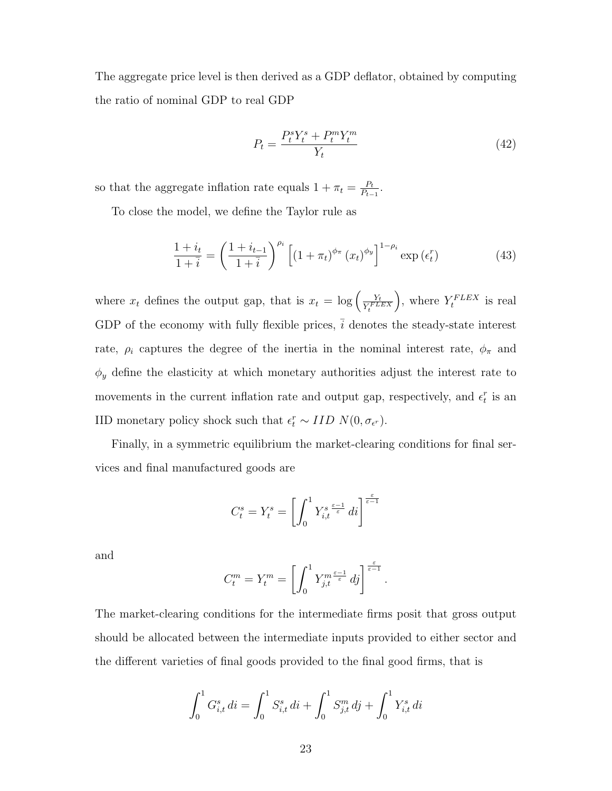The aggregate price level is then derived as a GDP deflator, obtained by computing the ratio of nominal GDP to real GDP

$$
P_t = \frac{P_t^s Y_t^s + P_t^m Y_t^m}{Y_t} \tag{42}
$$

so that the aggregate inflation rate equals  $1 + \pi_t = \frac{P_t}{P_t}$  $\frac{P_t}{P_{t-1}}$ .

To close the model, we define the Taylor rule as

$$
\frac{1+i_t}{1+\overline{i}} = \left(\frac{1+i_{t-1}}{1+\overline{i}}\right)^{\rho_i} \left[ (1+\pi_t)^{\phi_\pi} (x_t)^{\phi_y} \right]^{1-\rho_i} \exp\left(\epsilon_t^r\right) \tag{43}
$$

where  $x_t$  defines the output gap, that is  $x_t = \log \left( \frac{Y_t}{Y_t^{FL}} \right)$  $Y_t^{FLEX}$ ), where  $Y_t^{FLEX}$  is real GDP of the economy with fully flexible prices,  $\overline{i}$  denotes the steady-state interest rate,  $\rho_i$  captures the degree of the inertia in the nominal interest rate,  $\phi_{\pi}$  and  $\phi_y$  define the elasticity at which monetary authorities adjust the interest rate to movements in the current inflation rate and output gap, respectively, and  $\epsilon_t^r$  is an IID monetary policy shock such that  $\epsilon_t^r \sim IID N(0, \sigma_{\epsilon^r})$ .

Finally, in a symmetric equilibrium the market-clearing conditions for final services and final manufactured goods are

$$
C_t^s = Y_t^s = \left[ \int_0^1 Y_{i,t}^{s} \frac{\epsilon - 1}{\epsilon} \, dt \right]^{\frac{\epsilon}{\epsilon - 1}}
$$

and

$$
C_t^m = Y_t^m = \left[ \int_0^1 Y_{j,t}^{m \frac{\varepsilon - 1}{\varepsilon}} d j \right]^{\frac{\varepsilon}{\varepsilon - 1}}.
$$

The market-clearing conditions for the intermediate firms posit that gross output should be allocated between the intermediate inputs provided to either sector and the different varieties of final goods provided to the final good firms, that is

$$
\int_0^1 G_{i,t}^s \, di = \int_0^1 S_{i,t}^s \, di + \int_0^1 S_{j,t}^m \, dj + \int_0^1 Y_{i,t}^s \, di
$$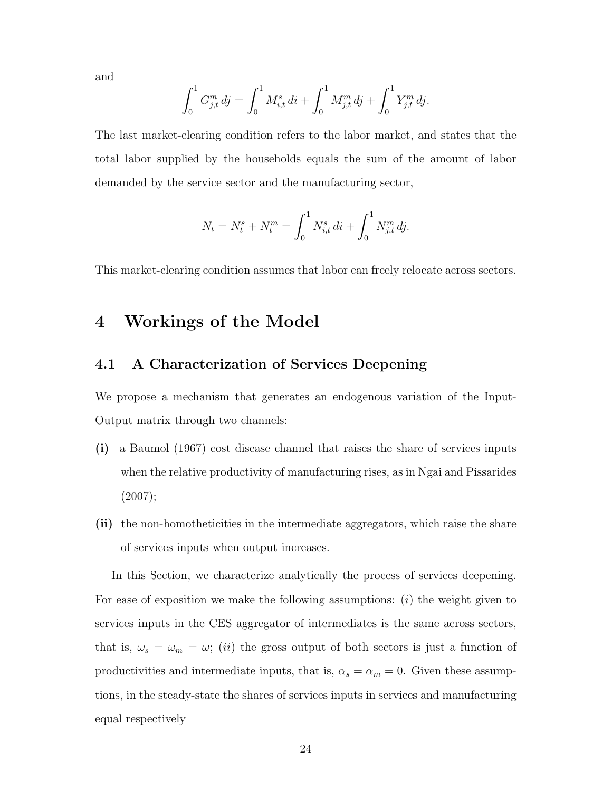and

$$
\int_0^1 G_{j,t}^m \, dj = \int_0^1 M_{i,t}^s \, di + \int_0^1 M_{j,t}^m \, dj + \int_0^1 Y_{j,t}^m \, dj.
$$

The last market-clearing condition refers to the labor market, and states that the total labor supplied by the households equals the sum of the amount of labor demanded by the service sector and the manufacturing sector,

$$
N_t = N_t^s + N_t^m = \int_0^1 N_{i,t}^s \, di + \int_0^1 N_{j,t}^m \, dj.
$$

This market-clearing condition assumes that labor can freely relocate across sectors.

# 4 Workings of the Model

## <span id="page-23-0"></span>4.1 A Characterization of Services Deepening

We propose a mechanism that generates an endogenous variation of the Input-Output matrix through two channels:

- (i) a Baumol (1967) cost disease channel that raises the share of services inputs when the relative productivity of manufacturing rises, as in Ngai and Pissarides (2007);
- (ii) the non-homotheticities in the intermediate aggregators, which raise the share of services inputs when output increases.

In this Section, we characterize analytically the process of services deepening. For ease of exposition we make the following assumptions:  $(i)$  the weight given to services inputs in the CES aggregator of intermediates is the same across sectors, that is,  $\omega_s = \omega_m = \omega$ ; *(ii)* the gross output of both sectors is just a function of productivities and intermediate inputs, that is,  $\alpha_s = \alpha_m = 0$ . Given these assumptions, in the steady-state the shares of services inputs in services and manufacturing equal respectively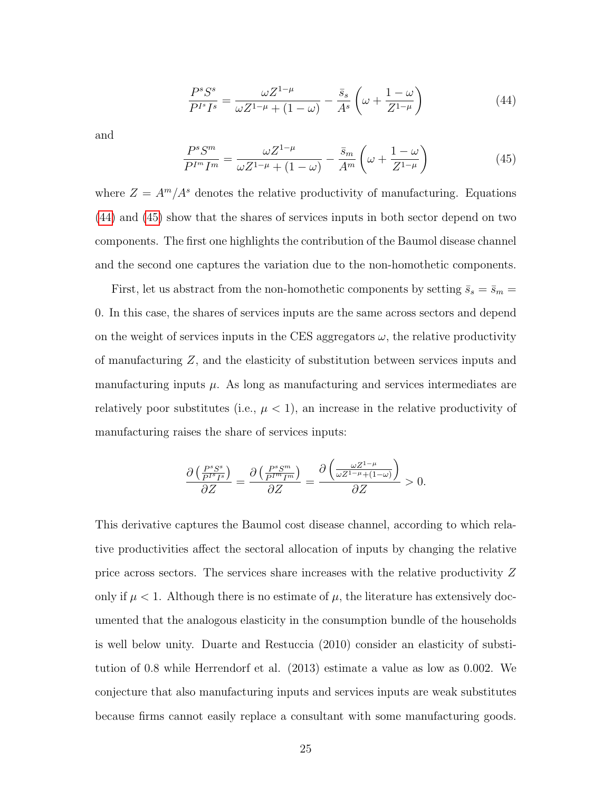<span id="page-24-0"></span>
$$
\frac{P^s S^s}{P^{I^s} I^s} = \frac{\omega Z^{1-\mu}}{\omega Z^{1-\mu} + (1-\omega)} - \frac{\bar{s}_s}{A^s} \left(\omega + \frac{1-\omega}{Z^{1-\mu}}\right)
$$
(44)

and

<span id="page-24-1"></span>
$$
\frac{P^s S^m}{P^{I^m} I^m} = \frac{\omega Z^{1-\mu}}{\omega Z^{1-\mu} + (1-\omega)} - \frac{\bar{s}_m}{A^m} \left(\omega + \frac{1-\omega}{Z^{1-\mu}}\right)
$$
(45)

where  $Z = A^m/A^s$  denotes the relative productivity of manufacturing. Equations [\(44\)](#page-24-0) and [\(45\)](#page-24-1) show that the shares of services inputs in both sector depend on two components. The first one highlights the contribution of the Baumol disease channel and the second one captures the variation due to the non-homothetic components.

First, let us abstract from the non-homothetic components by setting  $\bar{s}_s=\bar{s}_m=$ 0. In this case, the shares of services inputs are the same across sectors and depend on the weight of services inputs in the CES aggregators  $\omega$ , the relative productivity of manufacturing Z, and the elasticity of substitution between services inputs and manufacturing inputs  $\mu$ . As long as manufacturing and services intermediates are relatively poor substitutes (i.e.,  $\mu < 1$ ), an increase in the relative productivity of manufacturing raises the share of services inputs:

$$
\frac{\partial \left(\frac{P^s S^s}{P^{I^s} I^s}\right)}{\partial Z} = \frac{\partial \left(\frac{P^s S^m}{P^{I^m} I^m}\right)}{\partial Z} = \frac{\partial \left(\frac{\omega Z^{1-\mu}}{\omega Z^{1-\mu} + (1-\omega)}\right)}{\partial Z} > 0.
$$

This derivative captures the Baumol cost disease channel, according to which relative productivities affect the sectoral allocation of inputs by changing the relative price across sectors. The services share increases with the relative productivity Z only if  $\mu < 1$ . Although there is no estimate of  $\mu$ , the literature has extensively documented that the analogous elasticity in the consumption bundle of the households is well below unity. Duarte and Restuccia (2010) consider an elasticity of substitution of 0.8 while Herrendorf et al. (2013) estimate a value as low as 0.002. We conjecture that also manufacturing inputs and services inputs are weak substitutes because firms cannot easily replace a consultant with some manufacturing goods.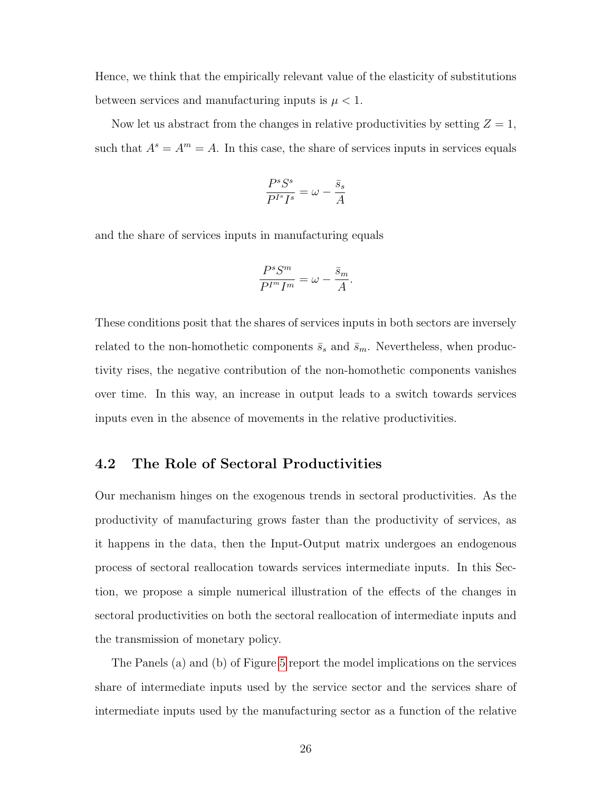Hence, we think that the empirically relevant value of the elasticity of substitutions between services and manufacturing inputs is  $\mu < 1$ .

Now let us abstract from the changes in relative productivities by setting  $Z = 1$ , such that  $A^s = A^m = A$ . In this case, the share of services inputs in services equals

$$
\frac{P^s S^s}{P^{I^s} I^s} = \omega - \frac{\bar{s}_s}{A}
$$

and the share of services inputs in manufacturing equals

$$
\frac{P^s S^m}{P^{I^m} I^m} = \omega - \frac{\bar{s}_m}{A}.
$$

These conditions posit that the shares of services inputs in both sectors are inversely related to the non-homothetic components  $\bar{s}_s$  and  $\bar{s}_m$ . Nevertheless, when productivity rises, the negative contribution of the non-homothetic components vanishes over time. In this way, an increase in output leads to a switch towards services inputs even in the absence of movements in the relative productivities.

### 4.2 The Role of Sectoral Productivities

Our mechanism hinges on the exogenous trends in sectoral productivities. As the productivity of manufacturing grows faster than the productivity of services, as it happens in the data, then the Input-Output matrix undergoes an endogenous process of sectoral reallocation towards services intermediate inputs. In this Section, we propose a simple numerical illustration of the effects of the changes in sectoral productivities on both the sectoral reallocation of intermediate inputs and the transmission of monetary policy.

The Panels (a) and (b) of Figure [5](#page-27-0) report the model implications on the services share of intermediate inputs used by the service sector and the services share of intermediate inputs used by the manufacturing sector as a function of the relative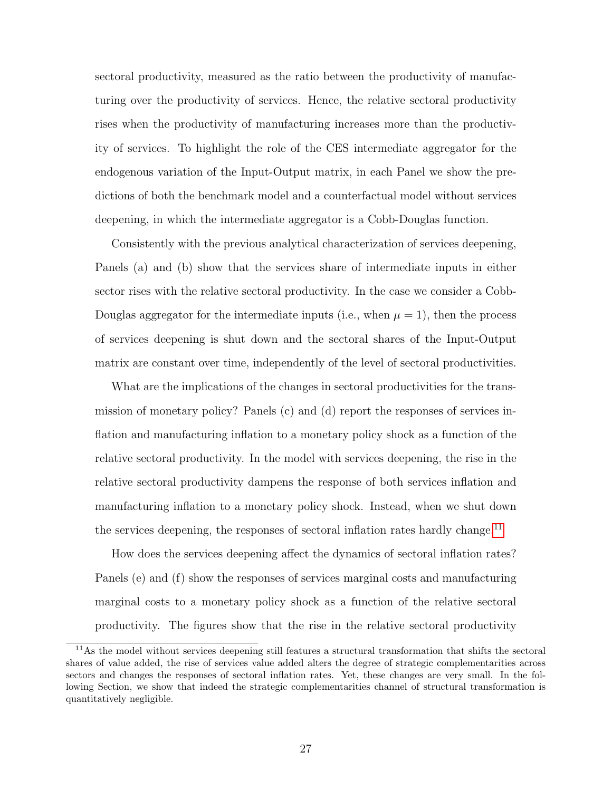sectoral productivity, measured as the ratio between the productivity of manufacturing over the productivity of services. Hence, the relative sectoral productivity rises when the productivity of manufacturing increases more than the productivity of services. To highlight the role of the CES intermediate aggregator for the endogenous variation of the Input-Output matrix, in each Panel we show the predictions of both the benchmark model and a counterfactual model without services deepening, in which the intermediate aggregator is a Cobb-Douglas function.

Consistently with the previous analytical characterization of services deepening, Panels (a) and (b) show that the services share of intermediate inputs in either sector rises with the relative sectoral productivity. In the case we consider a Cobb-Douglas aggregator for the intermediate inputs (i.e., when  $\mu = 1$ ), then the process of services deepening is shut down and the sectoral shares of the Input-Output matrix are constant over time, independently of the level of sectoral productivities.

What are the implications of the changes in sectoral productivities for the transmission of monetary policy? Panels (c) and (d) report the responses of services inflation and manufacturing inflation to a monetary policy shock as a function of the relative sectoral productivity. In the model with services deepening, the rise in the relative sectoral productivity dampens the response of both services inflation and manufacturing inflation to a monetary policy shock. Instead, when we shut down the services deepening, the responses of sectoral inflation rates hardly change.<sup>[11](#page-26-0)</sup>

How does the services deepening affect the dynamics of sectoral inflation rates? Panels (e) and (f) show the responses of services marginal costs and manufacturing marginal costs to a monetary policy shock as a function of the relative sectoral productivity. The figures show that the rise in the relative sectoral productivity

<span id="page-26-0"></span><sup>&</sup>lt;sup>11</sup>As the model without services deepening still features a structural transformation that shifts the sectoral shares of value added, the rise of services value added alters the degree of strategic complementarities across sectors and changes the responses of sectoral inflation rates. Yet, these changes are very small. In the following Section, we show that indeed the strategic complementarities channel of structural transformation is quantitatively negligible.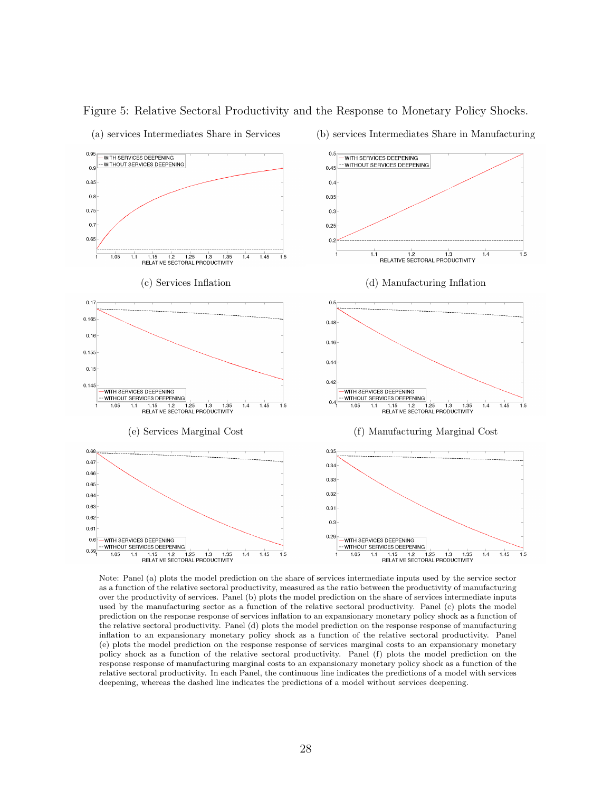

Figure 5: Relative Sectoral Productivity and the Response to Monetary Policy Shocks.

<span id="page-27-0"></span>Note: Panel (a) plots the model prediction on the share of services intermediate inputs used by the service sector as a function of the relative sectoral productivity, measured as the ratio between the productivity of manufacturing over the productivity of services. Panel (b) plots the model prediction on the share of services intermediate inputs used by the manufacturing sector as a function of the relative sectoral productivity. Panel (c) plots the model prediction on the response response of services inflation to an expansionary monetary policy shock as a function of the relative sectoral productivity. Panel (d) plots the model prediction on the response response of manufacturing inflation to an expansionary monetary policy shock as a function of the relative sectoral productivity. Panel (e) plots the model prediction on the response response of services marginal costs to an expansionary monetary policy shock as a function of the relative sectoral productivity. Panel (f) plots the model prediction on the response response of manufacturing marginal costs to an expansionary monetary policy shock as a function of the relative sectoral productivity. In each Panel, the continuous line indicates the predictions of a model with services deepening, whereas the dashed line indicates the predictions of a model without services deepening.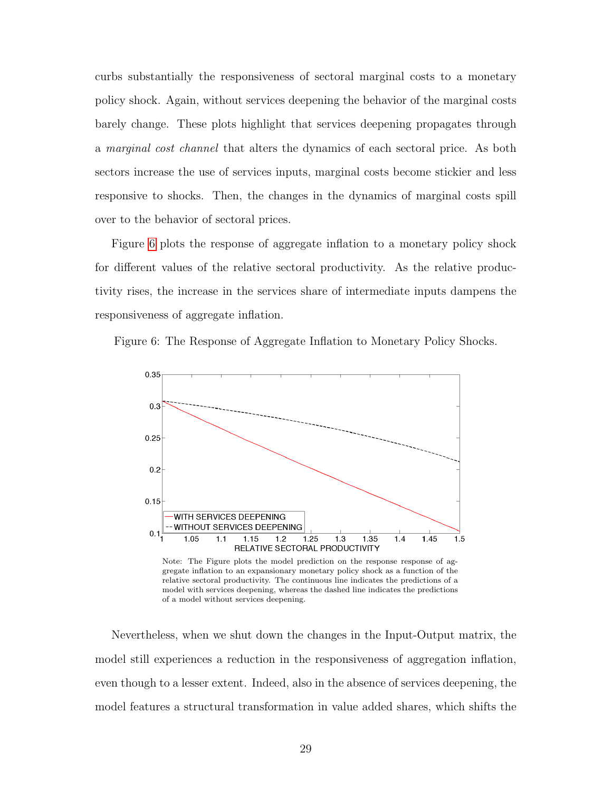curbs substantially the responsiveness of sectoral marginal costs to a monetary policy shock. Again, without services deepening the behavior of the marginal costs barely change. These plots highlight that services deepening propagates through a marginal cost channel that alters the dynamics of each sectoral price. As both sectors increase the use of services inputs, marginal costs become stickier and less responsive to shocks. Then, the changes in the dynamics of marginal costs spill over to the behavior of sectoral prices.

Figure [6](#page-28-0) plots the response of aggregate inflation to a monetary policy shock for different values of the relative sectoral productivity. As the relative productivity rises, the increase in the services share of intermediate inputs dampens the responsiveness of aggregate inflation.

<span id="page-28-0"></span>



gregate inflation to an expansionary monetary policy shock as a function of the relative sectoral productivity. The continuous line indicates the predictions of a model with services deepening, whereas the dashed line indicates the predictions of a model without services deepening.

Nevertheless, when we shut down the changes in the Input-Output matrix, the model still experiences a reduction in the responsiveness of aggregation inflation, even though to a lesser extent. Indeed, also in the absence of services deepening, the model features a structural transformation in value added shares, which shifts the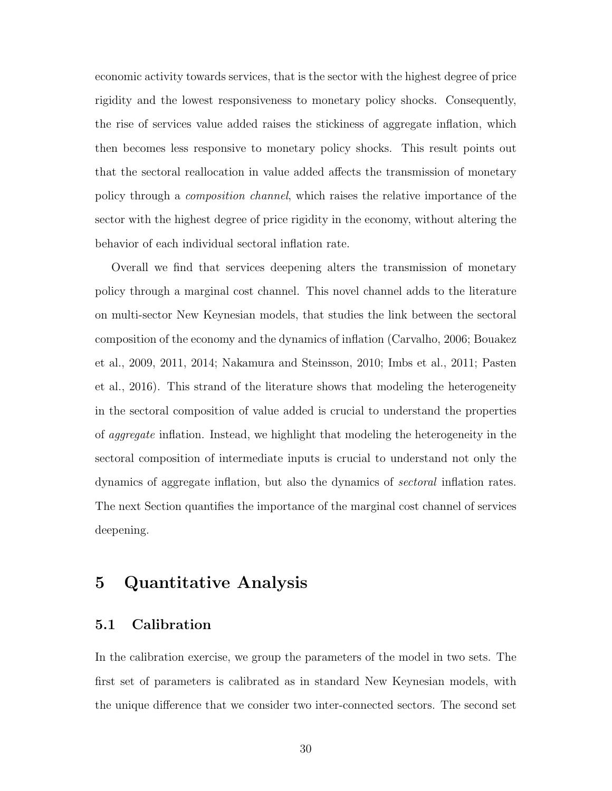economic activity towards services, that is the sector with the highest degree of price rigidity and the lowest responsiveness to monetary policy shocks. Consequently, the rise of services value added raises the stickiness of aggregate inflation, which then becomes less responsive to monetary policy shocks. This result points out that the sectoral reallocation in value added affects the transmission of monetary policy through a composition channel, which raises the relative importance of the sector with the highest degree of price rigidity in the economy, without altering the behavior of each individual sectoral inflation rate.

Overall we find that services deepening alters the transmission of monetary policy through a marginal cost channel. This novel channel adds to the literature on multi-sector New Keynesian models, that studies the link between the sectoral composition of the economy and the dynamics of inflation (Carvalho, 2006; Bouakez et al., 2009, 2011, 2014; Nakamura and Steinsson, 2010; Imbs et al., 2011; Pasten et al., 2016). This strand of the literature shows that modeling the heterogeneity in the sectoral composition of value added is crucial to understand the properties of aggregate inflation. Instead, we highlight that modeling the heterogeneity in the sectoral composition of intermediate inputs is crucial to understand not only the dynamics of aggregate inflation, but also the dynamics of sectoral inflation rates. The next Section quantifies the importance of the marginal cost channel of services deepening.

# 5 Quantitative Analysis

## 5.1 Calibration

In the calibration exercise, we group the parameters of the model in two sets. The first set of parameters is calibrated as in standard New Keynesian models, with the unique difference that we consider two inter-connected sectors. The second set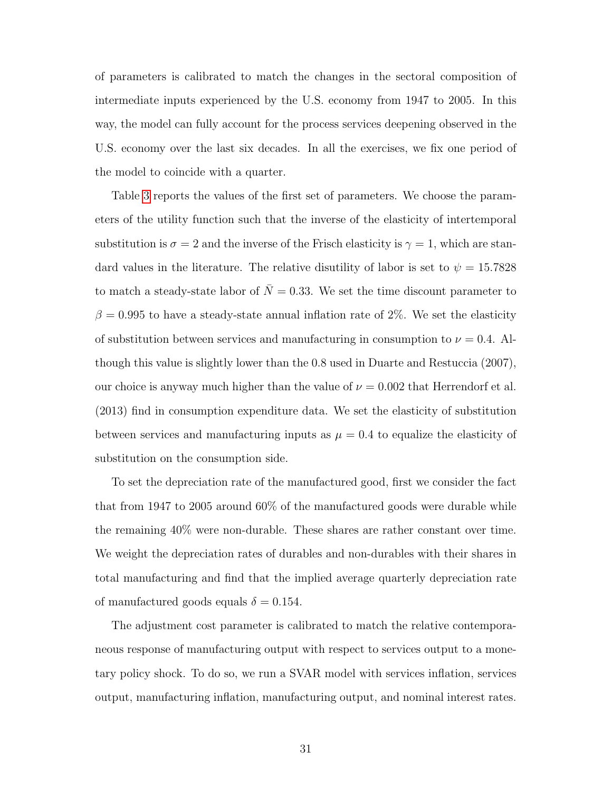of parameters is calibrated to match the changes in the sectoral composition of intermediate inputs experienced by the U.S. economy from 1947 to 2005. In this way, the model can fully account for the process services deepening observed in the U.S. economy over the last six decades. In all the exercises, we fix one period of the model to coincide with a quarter.

Table [3](#page-31-0) reports the values of the first set of parameters. We choose the parameters of the utility function such that the inverse of the elasticity of intertemporal substitution is  $\sigma = 2$  and the inverse of the Frisch elasticity is  $\gamma = 1$ , which are standard values in the literature. The relative disutility of labor is set to  $\psi = 15.7828$ to match a steady-state labor of  $\overline{N} = 0.33$ . We set the time discount parameter to  $\beta = 0.995$  to have a steady-state annual inflation rate of 2%. We set the elasticity of substitution between services and manufacturing in consumption to  $\nu = 0.4$ . Although this value is slightly lower than the 0.8 used in Duarte and Restuccia (2007), our choice is anyway much higher than the value of  $\nu = 0.002$  that Herrendorf et al. (2013) find in consumption expenditure data. We set the elasticity of substitution between services and manufacturing inputs as  $\mu = 0.4$  to equalize the elasticity of substitution on the consumption side.

To set the depreciation rate of the manufactured good, first we consider the fact that from 1947 to 2005 around 60% of the manufactured goods were durable while the remaining 40% were non-durable. These shares are rather constant over time. We weight the depreciation rates of durables and non-durables with their shares in total manufacturing and find that the implied average quarterly depreciation rate of manufactured goods equals  $\delta = 0.154$ .

The adjustment cost parameter is calibrated to match the relative contemporaneous response of manufacturing output with respect to services output to a monetary policy shock. To do so, we run a SVAR model with services inflation, services output, manufacturing inflation, manufacturing output, and nominal interest rates.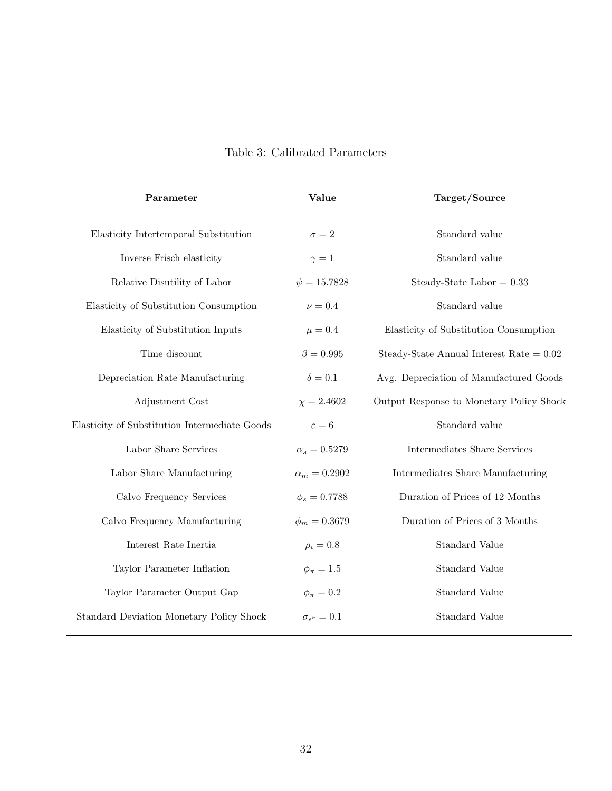<span id="page-31-0"></span>

| Parameter                                     | Value                     | Target/Source                              |
|-----------------------------------------------|---------------------------|--------------------------------------------|
| Elasticity Intertemporal Substitution         | $\sigma = 2$              | Standard value                             |
| Inverse Frisch elasticity                     | $\gamma=1$                | Standard value                             |
| Relative Disutility of Labor                  | $\psi = 15.7828$          | Steady-State Labor = $0.33$                |
| Elasticity of Substitution Consumption        | $\nu=0.4$                 | Standard value                             |
| Elasticity of Substitution Inputs             | $\mu = 0.4$               | Elasticity of Substitution Consumption     |
| Time discount                                 | $\beta = 0.995$           | Steady-State Annual Interest Rate $= 0.02$ |
| Depreciation Rate Manufacturing               | $\delta = 0.1$            | Avg. Depreciation of Manufactured Goods    |
| Adjustment Cost                               | $\chi = 2.4602$           | Output Response to Monetary Policy Shock   |
| Elasticity of Substitution Intermediate Goods | $\varepsilon=6$           | Standard value                             |
| Labor Share Services                          | $\alpha_s=0.5279$         | Intermediates Share Services               |
| Labor Share Manufacturing                     | $\alpha_m=0.2902$         | Intermediates Share Manufacturing          |
| Calvo Frequency Services                      | $\phi_s = 0.7788$         | Duration of Prices of 12 Months            |
| Calvo Frequency Manufacturing                 | $\phi_m = 0.3679$         | Duration of Prices of 3 Months             |
| Interest Rate Inertia                         | $\rho_i = 0.8$            | Standard Value                             |
| Taylor Parameter Inflation                    | $\phi_{\pi}=1.5$          | Standard Value                             |
| Taylor Parameter Output Gap                   | $\phi_{\pi}=0.2$          | Standard Value                             |
| Standard Deviation Monetary Policy Shock      | $\sigma_{\epsilon^r}=0.1$ | <b>Standard Value</b>                      |

# Table 3: Calibrated Parameters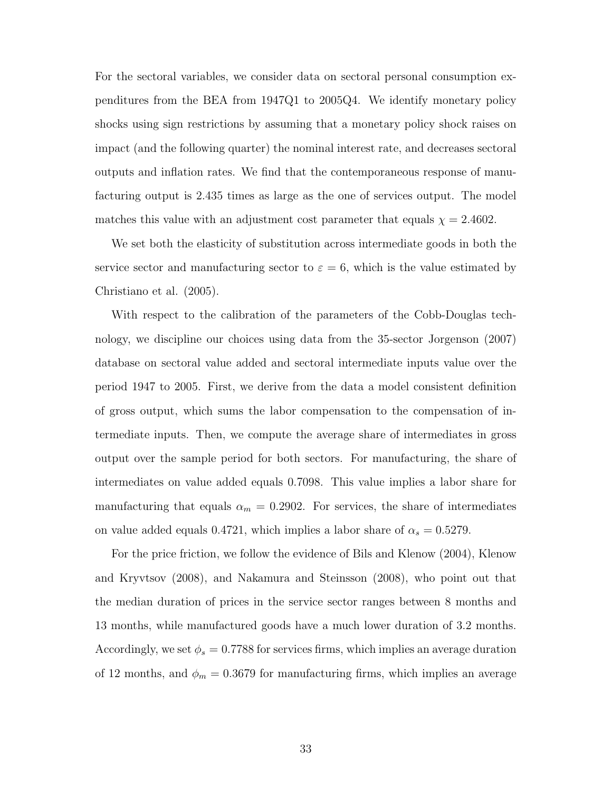For the sectoral variables, we consider data on sectoral personal consumption expenditures from the BEA from 1947Q1 to 2005Q4. We identify monetary policy shocks using sign restrictions by assuming that a monetary policy shock raises on impact (and the following quarter) the nominal interest rate, and decreases sectoral outputs and inflation rates. We find that the contemporaneous response of manufacturing output is 2.435 times as large as the one of services output. The model matches this value with an adjustment cost parameter that equals  $\chi = 2.4602$ .

We set both the elasticity of substitution across intermediate goods in both the service sector and manufacturing sector to  $\varepsilon = 6$ , which is the value estimated by Christiano et al. (2005).

With respect to the calibration of the parameters of the Cobb-Douglas technology, we discipline our choices using data from the 35-sector Jorgenson (2007) database on sectoral value added and sectoral intermediate inputs value over the period 1947 to 2005. First, we derive from the data a model consistent definition of gross output, which sums the labor compensation to the compensation of intermediate inputs. Then, we compute the average share of intermediates in gross output over the sample period for both sectors. For manufacturing, the share of intermediates on value added equals 0.7098. This value implies a labor share for manufacturing that equals  $\alpha_m = 0.2902$ . For services, the share of intermediates on value added equals 0.4721, which implies a labor share of  $\alpha_s = 0.5279$ .

For the price friction, we follow the evidence of Bils and Klenow (2004), Klenow and Kryvtsov (2008), and Nakamura and Steinsson (2008), who point out that the median duration of prices in the service sector ranges between 8 months and 13 months, while manufactured goods have a much lower duration of 3.2 months. Accordingly, we set  $\phi_s = 0.7788$  for services firms, which implies an average duration of 12 months, and  $\phi_m = 0.3679$  for manufacturing firms, which implies an average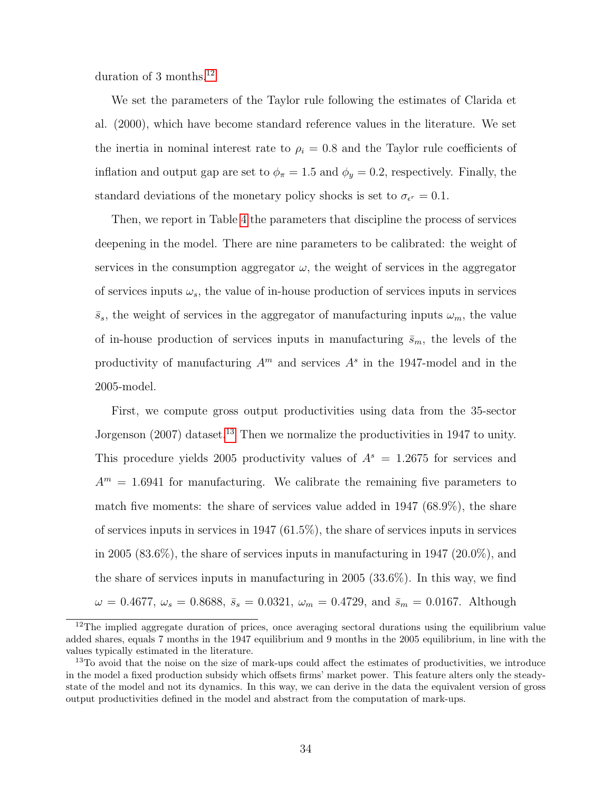duration of 3 months.[12](#page-33-0)

We set the parameters of the Taylor rule following the estimates of Clarida et al. (2000), which have become standard reference values in the literature. We set the inertia in nominal interest rate to  $\rho_i = 0.8$  and the Taylor rule coefficients of inflation and output gap are set to  $\phi_{\pi} = 1.5$  and  $\phi_{y} = 0.2$ , respectively. Finally, the standard deviations of the monetary policy shocks is set to  $\sigma_{\epsilon^r} = 0.1$ .

Then, we report in Table [4](#page-34-0) the parameters that discipline the process of services deepening in the model. There are nine parameters to be calibrated: the weight of services in the consumption aggregator  $\omega$ , the weight of services in the aggregator of services inputs  $\omega_s$ , the value of in-house production of services inputs in services  $\bar{s}_s$ , the weight of services in the aggregator of manufacturing inputs  $\omega_m$ , the value of in-house production of services inputs in manufacturing  $\bar{s}_m$ , the levels of the productivity of manufacturing  $A<sup>m</sup>$  and services  $A<sup>s</sup>$  in the 1947-model and in the 2005-model.

First, we compute gross output productivities using data from the 35-sector Jorgenson  $(2007)$  dataset.<sup>[13](#page-33-1)</sup> Then we normalize the productivities in 1947 to unity. This procedure yields 2005 productivity values of  $A<sup>s</sup> = 1.2675$  for services and  $A<sup>m</sup> = 1.6941$  for manufacturing. We calibrate the remaining five parameters to match five moments: the share of services value added in 1947 (68.9%), the share of services inputs in services in 1947 (61.5%), the share of services inputs in services in 2005 (83.6%), the share of services inputs in manufacturing in 1947 (20.0%), and the share of services inputs in manufacturing in 2005 (33.6%). In this way, we find  $\omega = 0.4677, \ \omega_s = 0.8688, \ \bar{s}_s = 0.0321, \ \omega_m = 0.4729, \ {\rm and} \ \bar{s}_m = 0.0167.$  Although

<span id="page-33-0"></span><sup>&</sup>lt;sup>12</sup>The implied aggregate duration of prices, once averaging sectoral durations using the equilibrium value added shares, equals 7 months in the 1947 equilibrium and 9 months in the 2005 equilibrium, in line with the values typically estimated in the literature.

<span id="page-33-1"></span><sup>&</sup>lt;sup>13</sup>To avoid that the noise on the size of mark-ups could affect the estimates of productivities, we introduce in the model a fixed production subsidy which offsets firms' market power. This feature alters only the steadystate of the model and not its dynamics. In this way, we can derive in the data the equivalent version of gross output productivities defined in the model and abstract from the computation of mark-ups.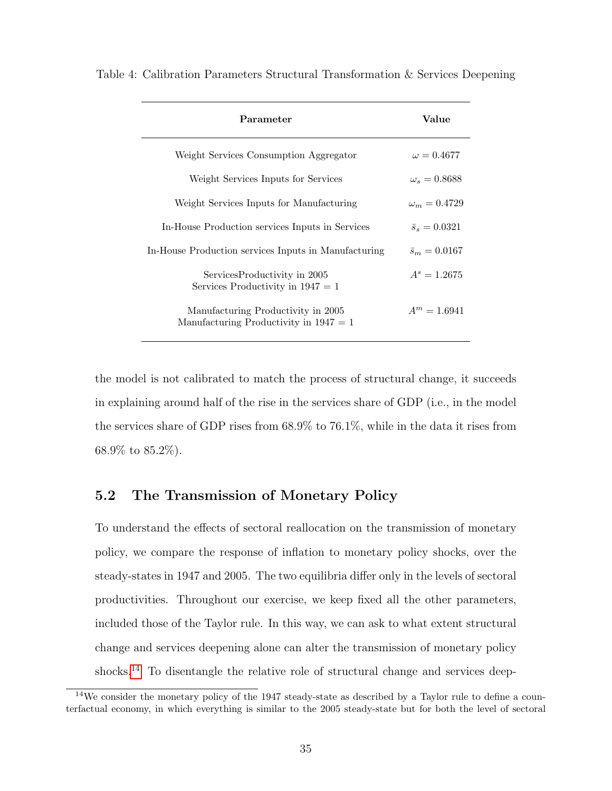| Parameter                                                                      | Value                |  |
|--------------------------------------------------------------------------------|----------------------|--|
| Weight Services Consumption Aggregator                                         | $\omega = 0.4677$    |  |
| Weight Services Inputs for Services                                            | $\omega_s = 0.8688$  |  |
| Weight Services Inputs for Manufacturing                                       | $\omega_m = 0.4729$  |  |
| In-House Production services Inputs in Services                                | $\bar{s}_s = 0.0321$ |  |
| In-House Production services Inputs in Manufacturing                           | $\bar{s}_m = 0.0167$ |  |
| ServicesProductivity in 2005<br>Services Productivity in $1947 = 1$            | $A^s = 1.2675$       |  |
| Manufacturing Productivity in 2005<br>Manufacturing Productivity in $1947 = 1$ | $A^m = 1.6941$       |  |

<span id="page-34-0"></span>Table 4: Calibration Parameters Structural Transformation & Services Deepening

the model is not calibrated to match the process of structural change, it succeeds in explaining around half of the rise in the services share of GDP (i.e., in the model the services share of GDP rises from 68.9% to 76.1%, while in the data it rises from 68.9% to 85.2%).

# 5.2 The Transmission of Monetary Policy

To understand the effects of sectoral reallocation on the transmission of monetary policy, we compare the response of inflation to monetary policy shocks, over the steady-states in 1947 and 2005. The two equilibria differ only in the levels of sectoral productivities. Throughout our exercise, we keep fixed all the other parameters, included those of the Taylor rule. In this way, we can ask to what extent structural change and services deepening alone can alter the transmission of monetary policy shocks.<sup>[14](#page-34-1)</sup> To disentangle the relative role of structural change and services deep-

<span id="page-34-1"></span><sup>&</sup>lt;sup>14</sup>We consider the monetary policy of the 1947 steady-state as described by a Taylor rule to define a counterfactual economy, in which everything is similar to the 2005 steady-state but for both the level of sectoral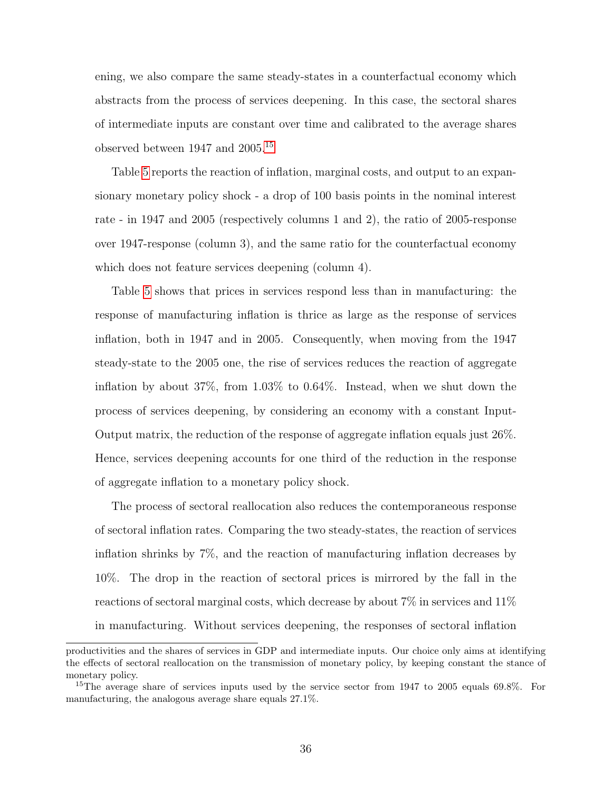ening, we also compare the same steady-states in a counterfactual economy which abstracts from the process of services deepening. In this case, the sectoral shares of intermediate inputs are constant over time and calibrated to the average shares observed between 1947 and 2005.[15](#page-35-0)

Table [5](#page-36-0) reports the reaction of inflation, marginal costs, and output to an expansionary monetary policy shock - a drop of 100 basis points in the nominal interest rate - in 1947 and 2005 (respectively columns 1 and 2), the ratio of 2005-response over 1947-response (column 3), and the same ratio for the counterfactual economy which does not feature services deepening (column 4).

Table [5](#page-36-0) shows that prices in services respond less than in manufacturing: the response of manufacturing inflation is thrice as large as the response of services inflation, both in 1947 and in 2005. Consequently, when moving from the 1947 steady-state to the 2005 one, the rise of services reduces the reaction of aggregate inflation by about 37%, from 1.03% to 0.64%. Instead, when we shut down the process of services deepening, by considering an economy with a constant Input-Output matrix, the reduction of the response of aggregate inflation equals just 26%. Hence, services deepening accounts for one third of the reduction in the response of aggregate inflation to a monetary policy shock.

The process of sectoral reallocation also reduces the contemporaneous response of sectoral inflation rates. Comparing the two steady-states, the reaction of services inflation shrinks by 7%, and the reaction of manufacturing inflation decreases by 10%. The drop in the reaction of sectoral prices is mirrored by the fall in the reactions of sectoral marginal costs, which decrease by about 7% in services and 11% in manufacturing. Without services deepening, the responses of sectoral inflation

productivities and the shares of services in GDP and intermediate inputs. Our choice only aims at identifying the effects of sectoral reallocation on the transmission of monetary policy, by keeping constant the stance of monetary policy.

<span id="page-35-0"></span><sup>&</sup>lt;sup>15</sup>The average share of services inputs used by the service sector from 1947 to 2005 equals 69.8%. For manufacturing, the analogous average share equals 27.1%.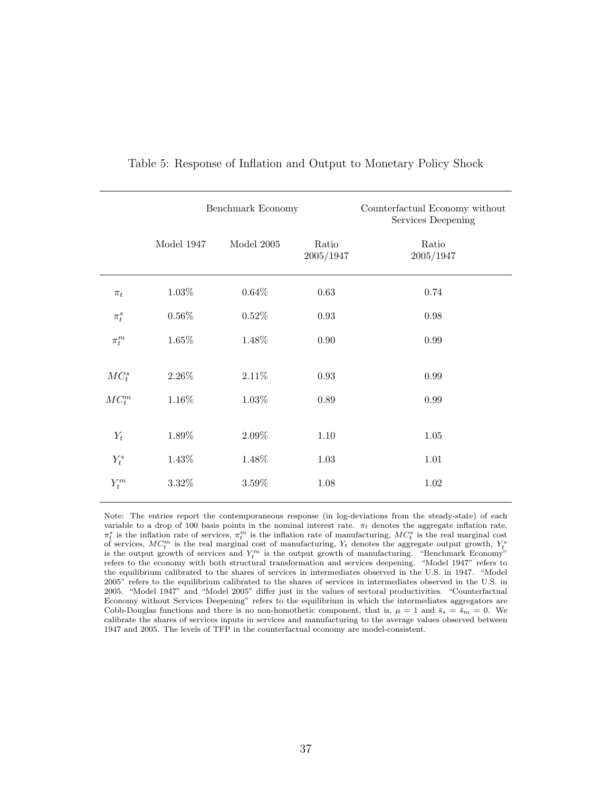<span id="page-36-0"></span>

|           | Benchmark Economy |              |                    | Counterfactual Economy without<br>Services Deepening |
|-----------|-------------------|--------------|--------------------|------------------------------------------------------|
|           | Model 1947        | Model $2005$ | Ratio<br>2005/1947 | Ratio<br>2005/1947                                   |
| $\pi_t$   | $1.03\%$          | $0.64\%$     | $0.63\,$           | $0.74\,$                                             |
| $\pi_t^s$ | $0.56\%$          | $0.52\%$     | $\rm 0.93$         | $0.98\,$                                             |
| $\pi_t^m$ | $1.65\%$          | 1.48%        | $0.90\,$           | 0.99                                                 |
| $MC_t^s$  | $2.26\%$          | 2.11%        | $\rm 0.93$         | 0.99                                                 |
| $MC_t^m$  | 1.16%             | 1.03%        | $0.89\,$           | 0.99                                                 |
| $Y_t$     | 1.89%             | 2.09%        | $1.10\,$           | 1.05                                                 |
| $Y_t^s$   | 1.43%             | 1.48%        | 1.03               | 1.01                                                 |
| $Y_t^m$   | $3.32\%$          | 3.59%        | 1.08               | $1.02\,$                                             |
|           |                   |              |                    |                                                      |

### Table 5: Response of Inflation and Output to Monetary Policy Shock

Note: The entries report the contemporaneous response (in log-deviations from the steady-state) of each variable to a drop of 100 basis points in the nominal interest rate.  $\pi_t$  denotes the aggregate inflation rate,  $\pi_t^s$  is the inflation rate of services,  $\pi_t^m$  is the inflation rate of manufacturing,  $MC_t^s$  is the real marginal cost of services,  $MC_t^m$  is the real marginal cost of manufacturing,  $Y_t$  denotes the aggregate output growth,  $Y_t^s$ is the output growth of services and  $Y_t^m$  is the output growth of manufacturing. "Benchmark Economy" refers to the economy with both structural transformation and services deepening. "Model 1947" refers to the equilibrium calibrated to the shares of services in intermediates observed in the U.S. in 1947. "Model 2005" refers to the equilibrium calibrated to the shares of services in intermediates observed in the U.S. in 2005. "Model 1947" and "Model 2005" differ just in the values of sectoral productivities. "Counterfactual Economy without Services Deepening" refers to the equilibrium in which the intermediates aggregators are Cobb-Douglas functions and there is no non-homothetic component, that is,  $\mu = 1$  and  $\bar{s}_s = \bar{s}_m = 0$ . We calibrate the shares of services inputs in services and manufacturing to the average values observed between 1947 and 2005. The levels of TFP in the counterfactual economy are model-consistent.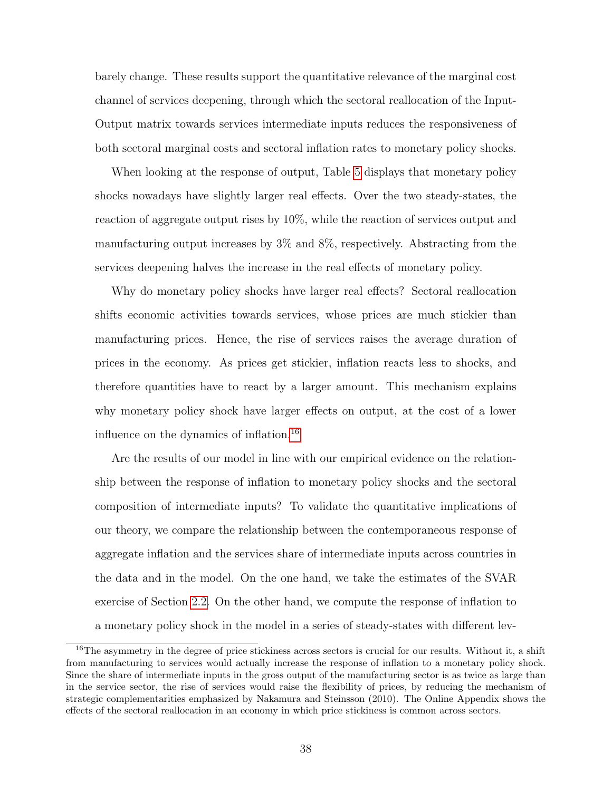barely change. These results support the quantitative relevance of the marginal cost channel of services deepening, through which the sectoral reallocation of the Input-Output matrix towards services intermediate inputs reduces the responsiveness of both sectoral marginal costs and sectoral inflation rates to monetary policy shocks.

When looking at the response of output, Table [5](#page-36-0) displays that monetary policy shocks nowadays have slightly larger real effects. Over the two steady-states, the reaction of aggregate output rises by 10%, while the reaction of services output and manufacturing output increases by 3% and 8%, respectively. Abstracting from the services deepening halves the increase in the real effects of monetary policy.

Why do monetary policy shocks have larger real effects? Sectoral reallocation shifts economic activities towards services, whose prices are much stickier than manufacturing prices. Hence, the rise of services raises the average duration of prices in the economy. As prices get stickier, inflation reacts less to shocks, and therefore quantities have to react by a larger amount. This mechanism explains why monetary policy shock have larger effects on output, at the cost of a lower influence on the dynamics of inflation.[16](#page-37-0)

Are the results of our model in line with our empirical evidence on the relationship between the response of inflation to monetary policy shocks and the sectoral composition of intermediate inputs? To validate the quantitative implications of our theory, we compare the relationship between the contemporaneous response of aggregate inflation and the services share of intermediate inputs across countries in the data and in the model. On the one hand, we take the estimates of the SVAR exercise of Section [2.2.](#page-8-3) On the other hand, we compute the response of inflation to a monetary policy shock in the model in a series of steady-states with different lev-

<span id="page-37-0"></span><sup>&</sup>lt;sup>16</sup>The asymmetry in the degree of price stickiness across sectors is crucial for our results. Without it, a shift from manufacturing to services would actually increase the response of inflation to a monetary policy shock. Since the share of intermediate inputs in the gross output of the manufacturing sector is as twice as large than in the service sector, the rise of services would raise the flexibility of prices, by reducing the mechanism of strategic complementarities emphasized by Nakamura and Steinsson (2010). The Online Appendix shows the effects of the sectoral reallocation in an economy in which price stickiness is common across sectors.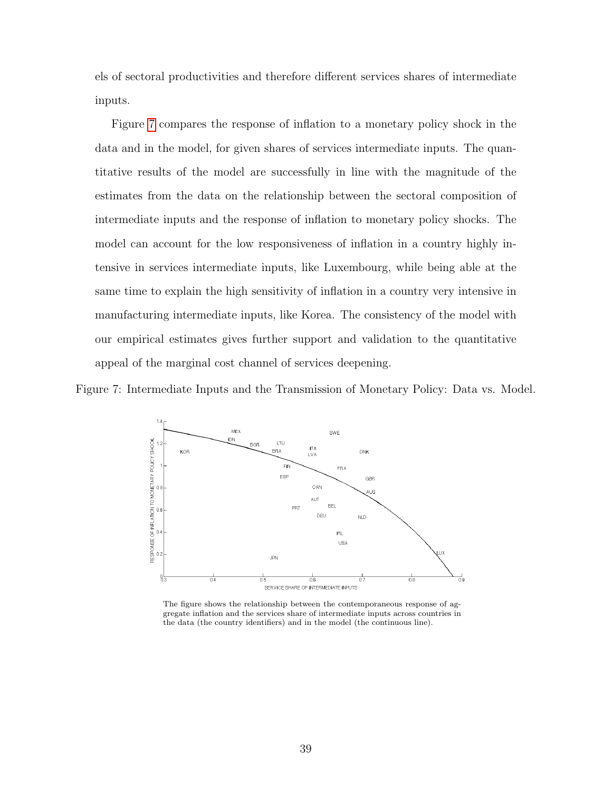els of sectoral productivities and therefore different services shares of intermediate inputs.

Figure [7](#page-38-0) compares the response of inflation to a monetary policy shock in the data and in the model, for given shares of services intermediate inputs. The quantitative results of the model are successfully in line with the magnitude of the estimates from the data on the relationship between the sectoral composition of intermediate inputs and the response of inflation to monetary policy shocks. The model can account for the low responsiveness of inflation in a country highly intensive in services intermediate inputs, like Luxembourg, while being able at the same time to explain the high sensitivity of inflation in a country very intensive in manufacturing intermediate inputs, like Korea. The consistency of the model with our empirical estimates gives further support and validation to the quantitative appeal of the marginal cost channel of services deepening.

<span id="page-38-0"></span>Figure 7: Intermediate Inputs and the Transmission of Monetary Policy: Data vs. Model.



The figure shows the relationship between the contemporaneous response of aggregate inflation and the services share of intermediate inputs across countries in the data (the country identifiers) and in the model (the continuous line).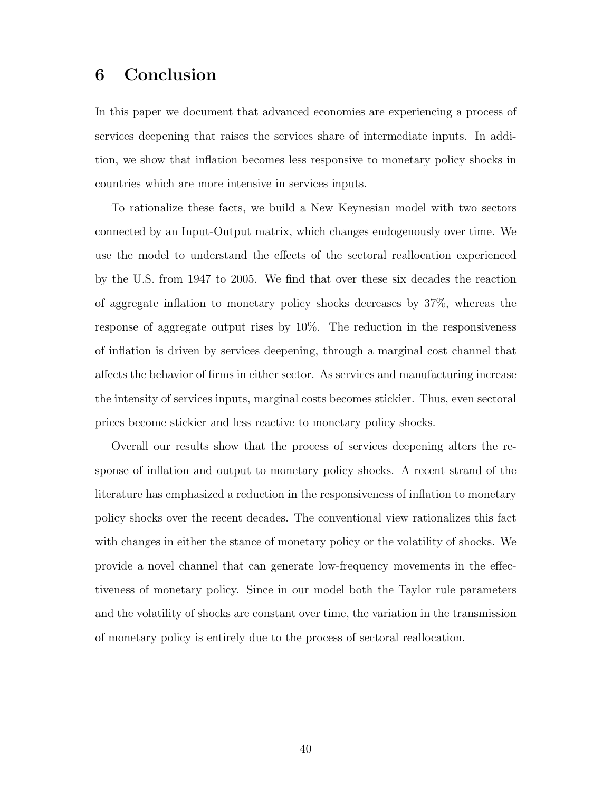# 6 Conclusion

In this paper we document that advanced economies are experiencing a process of services deepening that raises the services share of intermediate inputs. In addition, we show that inflation becomes less responsive to monetary policy shocks in countries which are more intensive in services inputs.

To rationalize these facts, we build a New Keynesian model with two sectors connected by an Input-Output matrix, which changes endogenously over time. We use the model to understand the effects of the sectoral reallocation experienced by the U.S. from 1947 to 2005. We find that over these six decades the reaction of aggregate inflation to monetary policy shocks decreases by 37%, whereas the response of aggregate output rises by 10%. The reduction in the responsiveness of inflation is driven by services deepening, through a marginal cost channel that affects the behavior of firms in either sector. As services and manufacturing increase the intensity of services inputs, marginal costs becomes stickier. Thus, even sectoral prices become stickier and less reactive to monetary policy shocks.

Overall our results show that the process of services deepening alters the response of inflation and output to monetary policy shocks. A recent strand of the literature has emphasized a reduction in the responsiveness of inflation to monetary policy shocks over the recent decades. The conventional view rationalizes this fact with changes in either the stance of monetary policy or the volatility of shocks. We provide a novel channel that can generate low-frequency movements in the effectiveness of monetary policy. Since in our model both the Taylor rule parameters and the volatility of shocks are constant over time, the variation in the transmission of monetary policy is entirely due to the process of sectoral reallocation.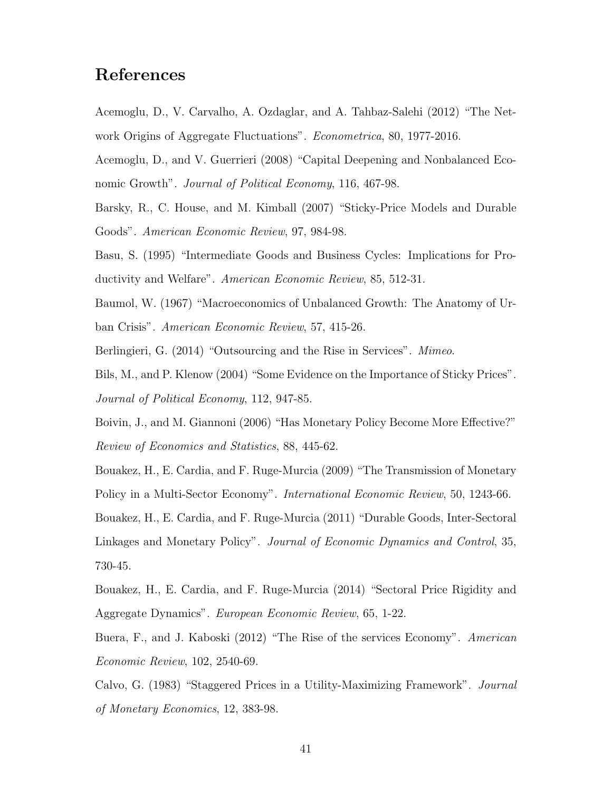# References

Acemoglu, D., V. Carvalho, A. Ozdaglar, and A. Tahbaz-Salehi (2012) "The Network Origins of Aggregate Fluctuations". Econometrica, 80, 1977-2016.

Acemoglu, D., and V. Guerrieri (2008) "Capital Deepening and Nonbalanced Economic Growth". *Journal of Political Economy*, 116, 467-98.

Barsky, R., C. House, and M. Kimball (2007) "Sticky-Price Models and Durable Goods". American Economic Review, 97, 984-98.

Basu, S. (1995) "Intermediate Goods and Business Cycles: Implications for Productivity and Welfare". American Economic Review, 85, 512-31.

Baumol, W. (1967) "Macroeconomics of Unbalanced Growth: The Anatomy of Urban Crisis". American Economic Review, 57, 415-26.

Berlingieri, G. (2014) "Outsourcing and the Rise in Services". Mimeo.

Bils, M., and P. Klenow (2004) "Some Evidence on the Importance of Sticky Prices". Journal of Political Economy, 112, 947-85.

Boivin, J., and M. Giannoni (2006) "Has Monetary Policy Become More Effective?" Review of Economics and Statistics, 88, 445-62.

Bouakez, H., E. Cardia, and F. Ruge-Murcia (2009) "The Transmission of Monetary Policy in a Multi-Sector Economy". International Economic Review, 50, 1243-66.

Bouakez, H., E. Cardia, and F. Ruge-Murcia (2011) "Durable Goods, Inter-Sectoral Linkages and Monetary Policy". Journal of Economic Dynamics and Control, 35, 730-45.

Bouakez, H., E. Cardia, and F. Ruge-Murcia (2014) "Sectoral Price Rigidity and Aggregate Dynamics". European Economic Review, 65, 1-22.

Buera, F., and J. Kaboski (2012) "The Rise of the services Economy". American Economic Review, 102, 2540-69.

Calvo, G. (1983) "Staggered Prices in a Utility-Maximizing Framework". Journal of Monetary Economics, 12, 383-98.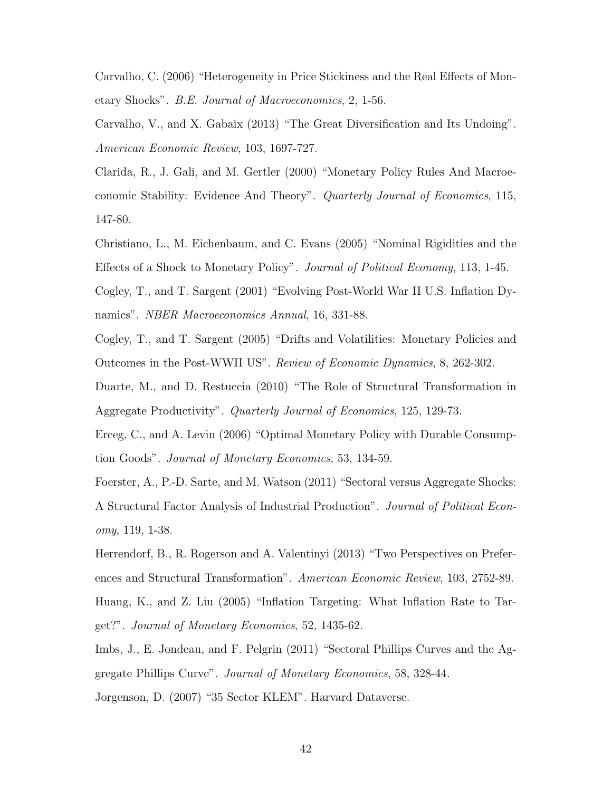Carvalho, C. (2006) "Heterogeneity in Price Stickiness and the Real Effects of Monetary Shocks". B.E. Journal of Macroeconomics, 2, 1-56.

Carvalho, V., and X. Gabaix (2013) "The Great Diversification and Its Undoing". American Economic Review, 103, 1697-727.

Clarida, R., J. Gali, and M. Gertler (2000) "Monetary Policy Rules And Macroeconomic Stability: Evidence And Theory". Quarterly Journal of Economics, 115, 147-80.

Christiano, L., M. Eichenbaum, and C. Evans (2005) "Nominal Rigidities and the Effects of a Shock to Monetary Policy". Journal of Political Economy, 113, 1-45.

Cogley, T., and T. Sargent (2001) "Evolving Post-World War II U.S. Inflation Dynamics". *NBER Macroeconomics Annual*, 16, 331-88.

Cogley, T., and T. Sargent (2005) "Drifts and Volatilities: Monetary Policies and Outcomes in the Post-WWII US". Review of Economic Dynamics, 8, 262-302.

Duarte, M., and D. Restuccia (2010) "The Role of Structural Transformation in Aggregate Productivity". Quarterly Journal of Economics, 125, 129-73.

Erceg, C., and A. Levin (2006) "Optimal Monetary Policy with Durable Consumption Goods". Journal of Monetary Economics, 53, 134-59.

Foerster, A., P.-D. Sarte, and M. Watson (2011) "Sectoral versus Aggregate Shocks: A Structural Factor Analysis of Industrial Production". Journal of Political Economy, 119, 1-38.

Herrendorf, B., R. Rogerson and A. Valentinyi (2013) "Two Perspectives on Preferences and Structural Transformation". American Economic Review, 103, 2752-89. Huang, K., and Z. Liu (2005) "Inflation Targeting: What Inflation Rate to Target?". Journal of Monetary Economics, 52, 1435-62.

Imbs, J., E. Jondeau, and F. Pelgrin (2011) "Sectoral Phillips Curves and the Aggregate Phillips Curve". Journal of Monetary Economics, 58, 328-44.

Jorgenson, D. (2007) "35 Sector KLEM". Harvard Dataverse.